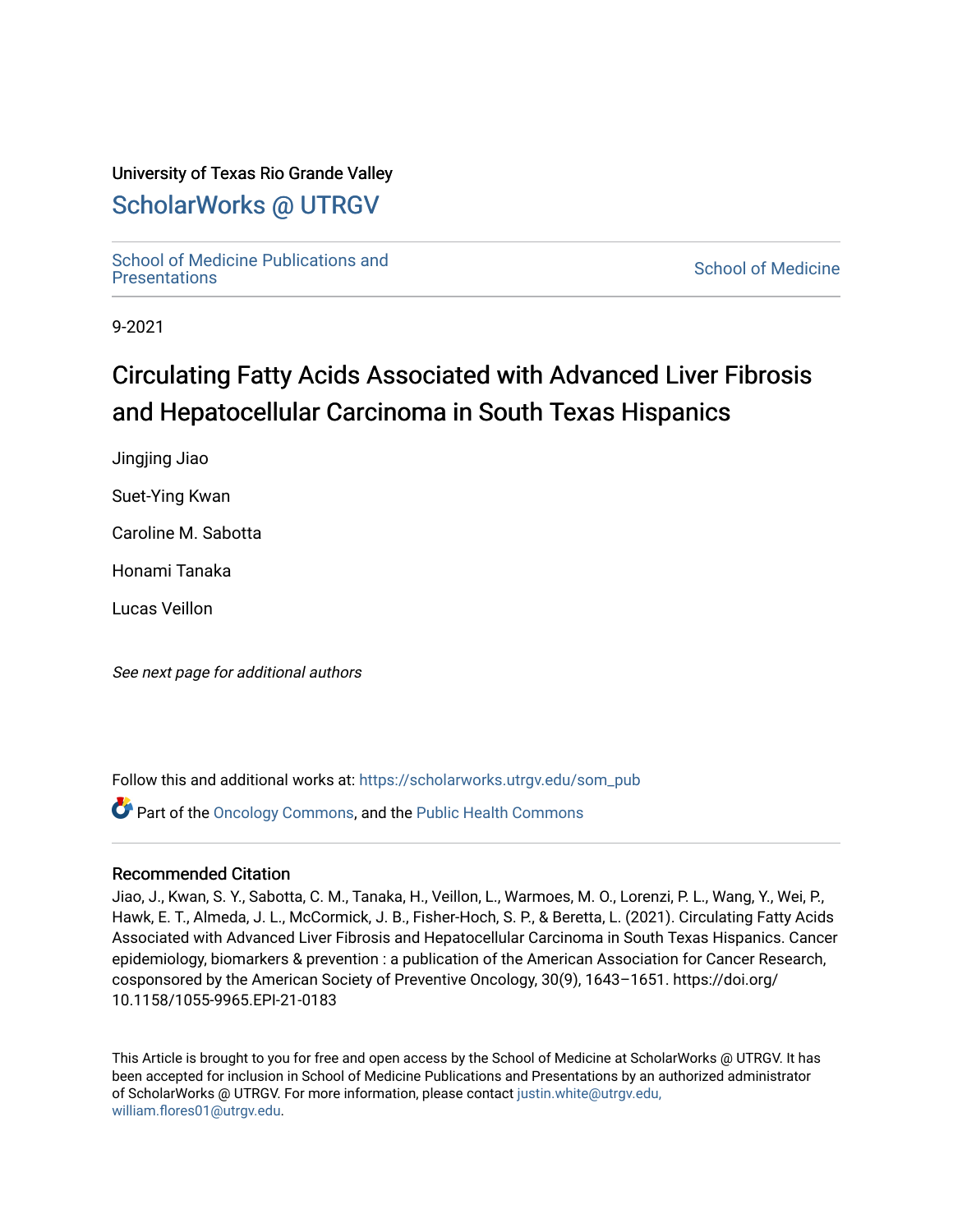## University of Texas Rio Grande Valley

## [ScholarWorks @ UTRGV](https://scholarworks.utrgv.edu/)

School of Medicine Publications and<br>Presentations

**School of Medicine** 

9-2021

## Circulating Fatty Acids Associated with Advanced Liver Fibrosis and Hepatocellular Carcinoma in South Texas Hispanics

Jingjing Jiao

Suet-Ying Kwan

Caroline M. Sabotta

Honami Tanaka

Lucas Veillon

See next page for additional authors

Follow this and additional works at: [https://scholarworks.utrgv.edu/som\\_pub](https://scholarworks.utrgv.edu/som_pub?utm_source=scholarworks.utrgv.edu%2Fsom_pub%2F505&utm_medium=PDF&utm_campaign=PDFCoverPages) 

Part of the [Oncology Commons,](http://network.bepress.com/hgg/discipline/694?utm_source=scholarworks.utrgv.edu%2Fsom_pub%2F505&utm_medium=PDF&utm_campaign=PDFCoverPages) and the [Public Health Commons](http://network.bepress.com/hgg/discipline/738?utm_source=scholarworks.utrgv.edu%2Fsom_pub%2F505&utm_medium=PDF&utm_campaign=PDFCoverPages)

#### Recommended Citation

Jiao, J., Kwan, S. Y., Sabotta, C. M., Tanaka, H., Veillon, L., Warmoes, M. O., Lorenzi, P. L., Wang, Y., Wei, P., Hawk, E. T., Almeda, J. L., McCormick, J. B., Fisher-Hoch, S. P., & Beretta, L. (2021). Circulating Fatty Acids Associated with Advanced Liver Fibrosis and Hepatocellular Carcinoma in South Texas Hispanics. Cancer epidemiology, biomarkers & prevention : a publication of the American Association for Cancer Research, cosponsored by the American Society of Preventive Oncology, 30(9), 1643–1651. https://doi.org/ 10.1158/1055-9965.EPI-21-0183

This Article is brought to you for free and open access by the School of Medicine at ScholarWorks @ UTRGV. It has been accepted for inclusion in School of Medicine Publications and Presentations by an authorized administrator of ScholarWorks @ UTRGV. For more information, please contact [justin.white@utrgv.edu,](mailto:justin.white@utrgv.edu,%20william.flores01@utrgv.edu) [william.flores01@utrgv.edu](mailto:justin.white@utrgv.edu,%20william.flores01@utrgv.edu).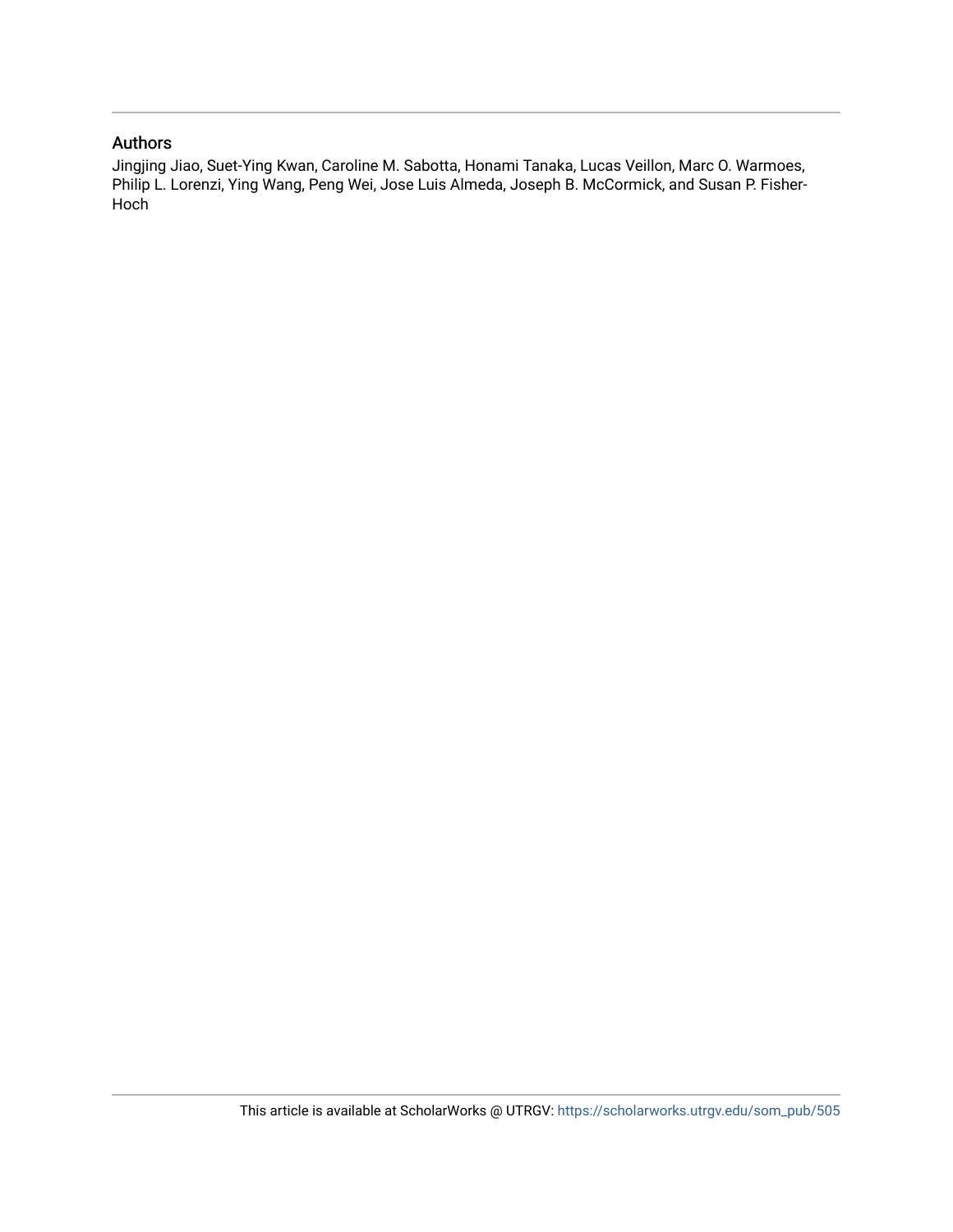### Authors

Jingjing Jiao, Suet-Ying Kwan, Caroline M. Sabotta, Honami Tanaka, Lucas Veillon, Marc O. Warmoes, Philip L. Lorenzi, Ying Wang, Peng Wei, Jose Luis Almeda, Joseph B. McCormick, and Susan P. Fisher-Hoch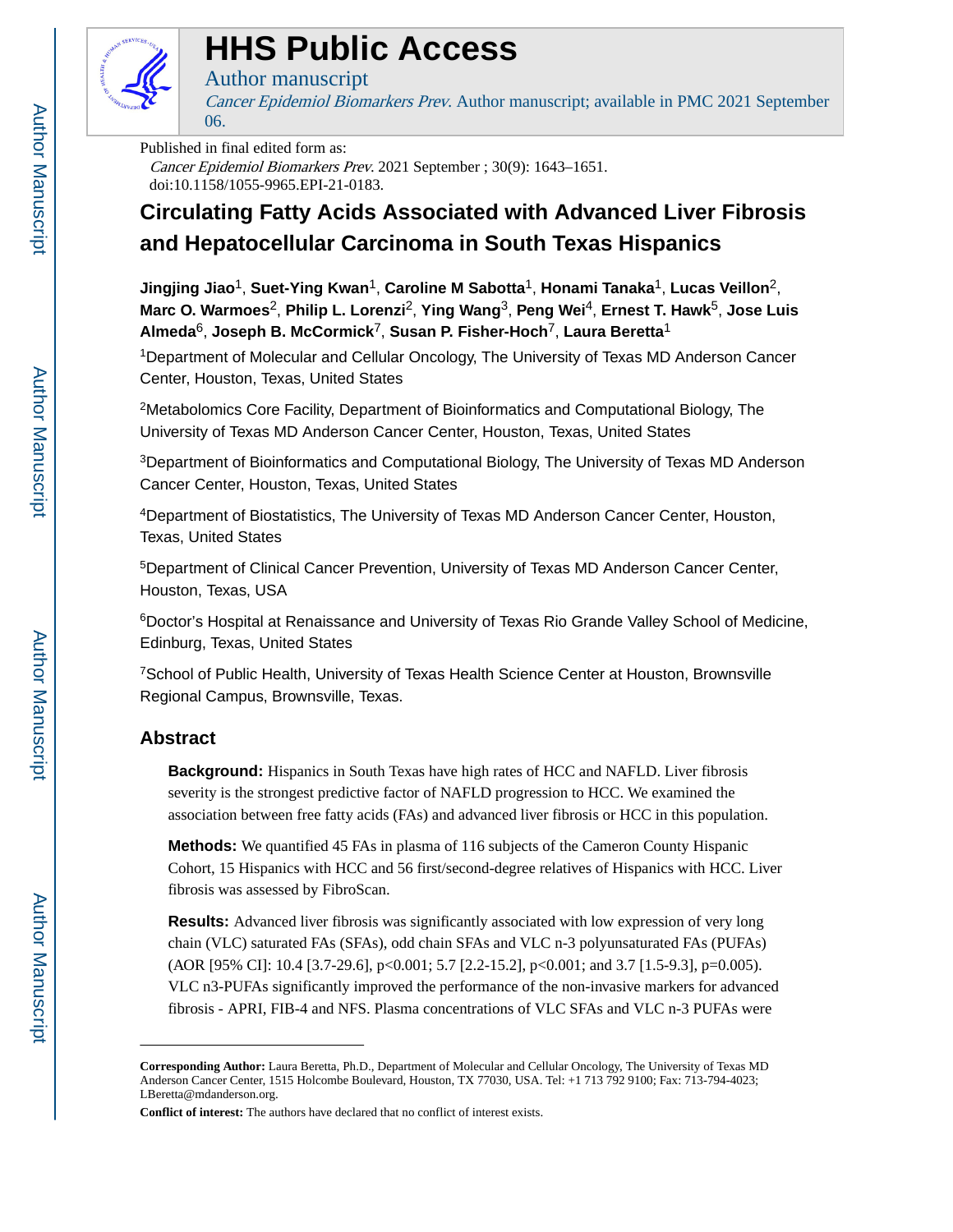

# **HHS Public Access**

## Author manuscript

Cancer Epidemiol Biomarkers Prev. Author manuscript; available in PMC 2021 September 06.

#### Published in final edited form as:

Cancer Epidemiol Biomarkers Prev. 2021 September ; 30(9): 1643–1651. doi:10.1158/1055-9965.EPI-21-0183.

## **Circulating Fatty Acids Associated with Advanced Liver Fibrosis and Hepatocellular Carcinoma in South Texas Hispanics**

**Jingjing Jiao**1, **Suet-Ying Kwan**1, **Caroline M Sabotta**1, **Honami Tanaka**1, **Lucas Veillon**2, **Marc O. Warmoes**2, **Philip L. Lorenzi**2, **Ying Wang**3, **Peng Wei**4, **Ernest T. Hawk**5, **Jose Luis Almeda**6, **Joseph B. McCormick**7, **Susan P. Fisher-Hoch**7, **Laura Beretta**<sup>1</sup>

<sup>1</sup>Department of Molecular and Cellular Oncology, The University of Texas MD Anderson Cancer Center, Houston, Texas, United States

<sup>2</sup>Metabolomics Core Facility, Department of Bioinformatics and Computational Biology, The University of Texas MD Anderson Cancer Center, Houston, Texas, United States

<sup>3</sup>Department of Bioinformatics and Computational Biology, The University of Texas MD Anderson Cancer Center, Houston, Texas, United States

<sup>4</sup>Department of Biostatistics, The University of Texas MD Anderson Cancer Center, Houston, Texas, United States

<sup>5</sup>Department of Clinical Cancer Prevention, University of Texas MD Anderson Cancer Center, Houston, Texas, USA

<sup>6</sup>Doctor's Hospital at Renaissance and University of Texas Rio Grande Valley School of Medicine, Edinburg, Texas, United States

<sup>7</sup>School of Public Health, University of Texas Health Science Center at Houston, Brownsville Regional Campus, Brownsville, Texas.

## **Abstract**

**Background:** Hispanics in South Texas have high rates of HCC and NAFLD. Liver fibrosis severity is the strongest predictive factor of NAFLD progression to HCC. We examined the association between free fatty acids (FAs) and advanced liver fibrosis or HCC in this population.

**Methods:** We quantified 45 FAs in plasma of 116 subjects of the Cameron County Hispanic Cohort, 15 Hispanics with HCC and 56 first/second-degree relatives of Hispanics with HCC. Liver fibrosis was assessed by FibroScan.

**Results:** Advanced liver fibrosis was significantly associated with low expression of very long chain (VLC) saturated FAs (SFAs), odd chain SFAs and VLC n-3 polyunsaturated FAs (PUFAs) (AOR [95% CI]: 10.4 [3.7-29.6], p<0.001; 5.7 [2.2-15.2], p<0.001; and 3.7 [1.5-9.3], p=0.005). VLC n3-PUFAs significantly improved the performance of the non-invasive markers for advanced fibrosis - APRI, FIB-4 and NFS. Plasma concentrations of VLC SFAs and VLC n-3 PUFAs were

**Corresponding Author:** Laura Beretta, Ph.D., Department of Molecular and Cellular Oncology, The University of Texas MD Anderson Cancer Center, 1515 Holcombe Boulevard, Houston, TX 77030, USA. Tel: +1 713 792 9100; Fax: 713-794-4023; LBeretta@mdanderson.org.

**Conflict of interest:** The authors have declared that no conflict of interest exists.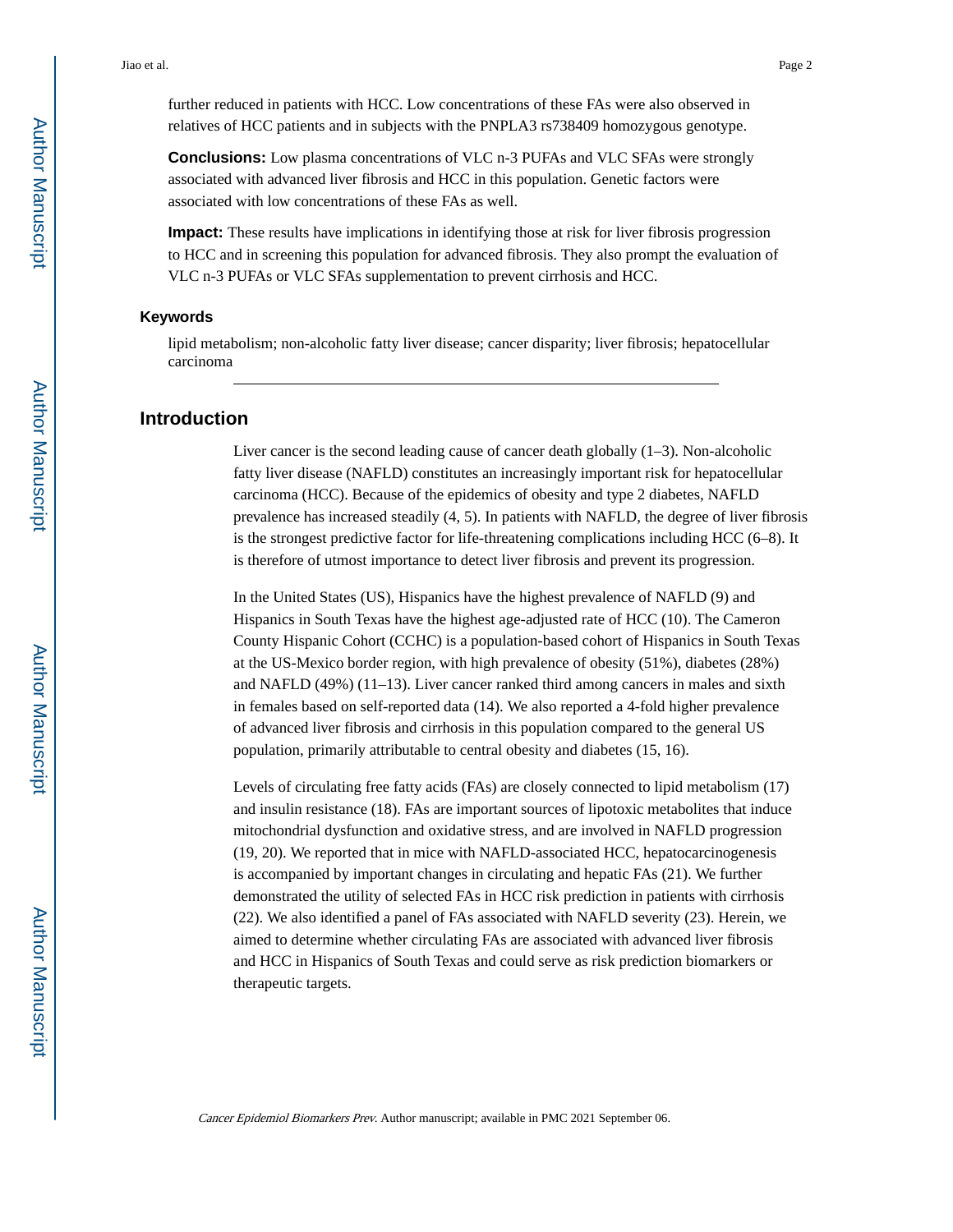further reduced in patients with HCC. Low concentrations of these FAs were also observed in relatives of HCC patients and in subjects with the PNPLA3 rs738409 homozygous genotype.

**Conclusions:** Low plasma concentrations of VLC n-3 PUFAs and VLC SFAs were strongly associated with advanced liver fibrosis and HCC in this population. Genetic factors were associated with low concentrations of these FAs as well.

**Impact:** These results have implications in identifying those at risk for liver fibrosis progression to HCC and in screening this population for advanced fibrosis. They also prompt the evaluation of VLC n-3 PUFAs or VLC SFAs supplementation to prevent cirrhosis and HCC.

#### **Keywords**

lipid metabolism; non-alcoholic fatty liver disease; cancer disparity; liver fibrosis; hepatocellular carcinoma

### **Introduction**

Liver cancer is the second leading cause of cancer death globally (1–3). Non-alcoholic fatty liver disease (NAFLD) constitutes an increasingly important risk for hepatocellular carcinoma (HCC). Because of the epidemics of obesity and type 2 diabetes, NAFLD prevalence has increased steadily (4, 5). In patients with NAFLD, the degree of liver fibrosis is the strongest predictive factor for life-threatening complications including HCC (6–8). It is therefore of utmost importance to detect liver fibrosis and prevent its progression.

In the United States (US), Hispanics have the highest prevalence of NAFLD (9) and Hispanics in South Texas have the highest age-adjusted rate of HCC (10). The Cameron County Hispanic Cohort (CCHC) is a population-based cohort of Hispanics in South Texas at the US-Mexico border region, with high prevalence of obesity (51%), diabetes (28%) and NAFLD (49%) (11–13). Liver cancer ranked third among cancers in males and sixth in females based on self-reported data (14). We also reported a 4-fold higher prevalence of advanced liver fibrosis and cirrhosis in this population compared to the general US population, primarily attributable to central obesity and diabetes (15, 16).

Levels of circulating free fatty acids (FAs) are closely connected to lipid metabolism (17) and insulin resistance (18). FAs are important sources of lipotoxic metabolites that induce mitochondrial dysfunction and oxidative stress, and are involved in NAFLD progression (19, 20). We reported that in mice with NAFLD-associated HCC, hepatocarcinogenesis is accompanied by important changes in circulating and hepatic FAs (21). We further demonstrated the utility of selected FAs in HCC risk prediction in patients with cirrhosis (22). We also identified a panel of FAs associated with NAFLD severity (23). Herein, we aimed to determine whether circulating FAs are associated with advanced liver fibrosis and HCC in Hispanics of South Texas and could serve as risk prediction biomarkers or therapeutic targets.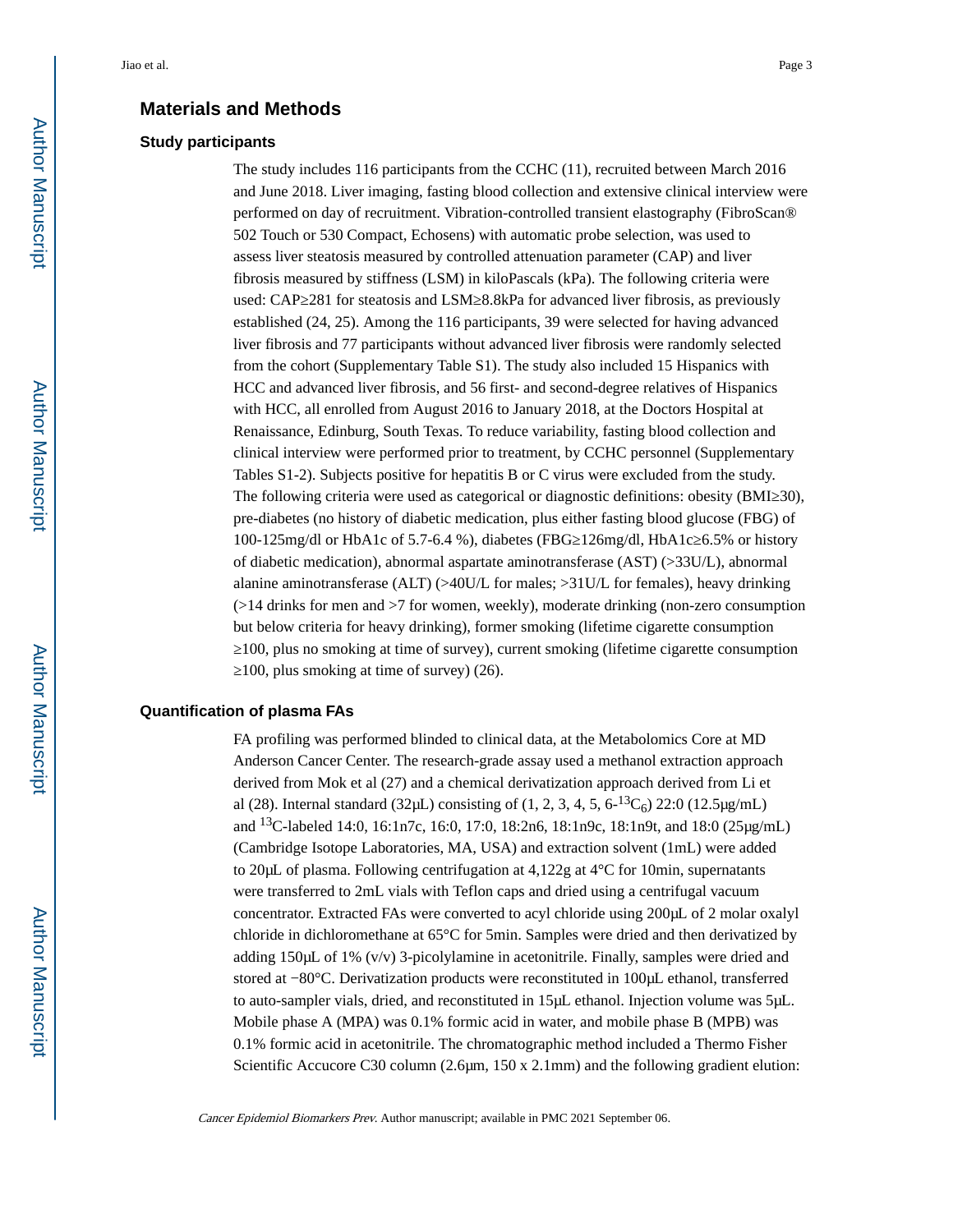#### **Materials and Methods**

#### **Study participants**

The study includes 116 participants from the CCHC (11), recruited between March 2016 and June 2018. Liver imaging, fasting blood collection and extensive clinical interview were performed on day of recruitment. Vibration-controlled transient elastography (FibroScan® 502 Touch or 530 Compact, Echosens) with automatic probe selection, was used to assess liver steatosis measured by controlled attenuation parameter (CAP) and liver fibrosis measured by stiffness (LSM) in kiloPascals (kPa). The following criteria were used: CAP 281 for steatosis and LSM 8.8kPa for advanced liver fibrosis, as previously established (24, 25). Among the 116 participants, 39 were selected for having advanced liver fibrosis and 77 participants without advanced liver fibrosis were randomly selected from the cohort (Supplementary Table S1). The study also included 15 Hispanics with HCC and advanced liver fibrosis, and 56 first- and second-degree relatives of Hispanics with HCC, all enrolled from August 2016 to January 2018, at the Doctors Hospital at Renaissance, Edinburg, South Texas. To reduce variability, fasting blood collection and clinical interview were performed prior to treatment, by CCHC personnel (Supplementary Tables S1-2). Subjects positive for hepatitis B or C virus were excluded from the study. The following criteria were used as categorical or diagnostic definitions: obesity (BMI 30), pre-diabetes (no history of diabetic medication, plus either fasting blood glucose (FBG) of 100-125mg/dl or HbA1c of 5.7-6.4 %), diabetes (FBG≥126mg/dl, HbA1c≥6.5% or history of diabetic medication), abnormal aspartate aminotransferase (AST) (>33U/L), abnormal alanine aminotransferase (ALT) (>40U/L for males; >31U/L for females), heavy drinking  $($ >14 drinks for men and >7 for women, weekly), moderate drinking (non-zero consumption but below criteria for heavy drinking), former smoking (lifetime cigarette consumption ≥100, plus no smoking at time of survey), current smoking (lifetime cigarette consumption ≥100, plus smoking at time of survey) (26).

#### **Quantification of plasma FAs**

FA profiling was performed blinded to clinical data, at the Metabolomics Core at MD Anderson Cancer Center. The research-grade assay used a methanol extraction approach derived from Mok et al (27) and a chemical derivatization approach derived from Li et al (28). Internal standard (32 $\mu$ L) consisting of (1, 2, 3, 4, 5, 6-<sup>13</sup>C<sub>6</sub>) 22:0 (12.5 $\mu$ g/mL) and 13C-labeled 14:0, 16:1n7c, 16:0, 17:0, 18:2n6, 18:1n9c, 18:1n9t, and 18:0 (25μg/mL) (Cambridge Isotope Laboratories, MA, USA) and extraction solvent (1mL) were added to 20μL of plasma. Following centrifugation at 4,122g at 4°C for 10min, supernatants were transferred to 2mL vials with Teflon caps and dried using a centrifugal vacuum concentrator. Extracted FAs were converted to acyl chloride using 200μL of 2 molar oxalyl chloride in dichloromethane at 65°C for 5min. Samples were dried and then derivatized by adding 150μL of 1% (v/v) 3-picolylamine in acetonitrile. Finally, samples were dried and stored at −80°C. Derivatization products were reconstituted in 100μL ethanol, transferred to auto-sampler vials, dried, and reconstituted in 15μL ethanol. Injection volume was 5μL. Mobile phase A (MPA) was 0.1% formic acid in water, and mobile phase B (MPB) was 0.1% formic acid in acetonitrile. The chromatographic method included a Thermo Fisher Scientific Accucore C30 column (2.6μm, 150 x 2.1mm) and the following gradient elution: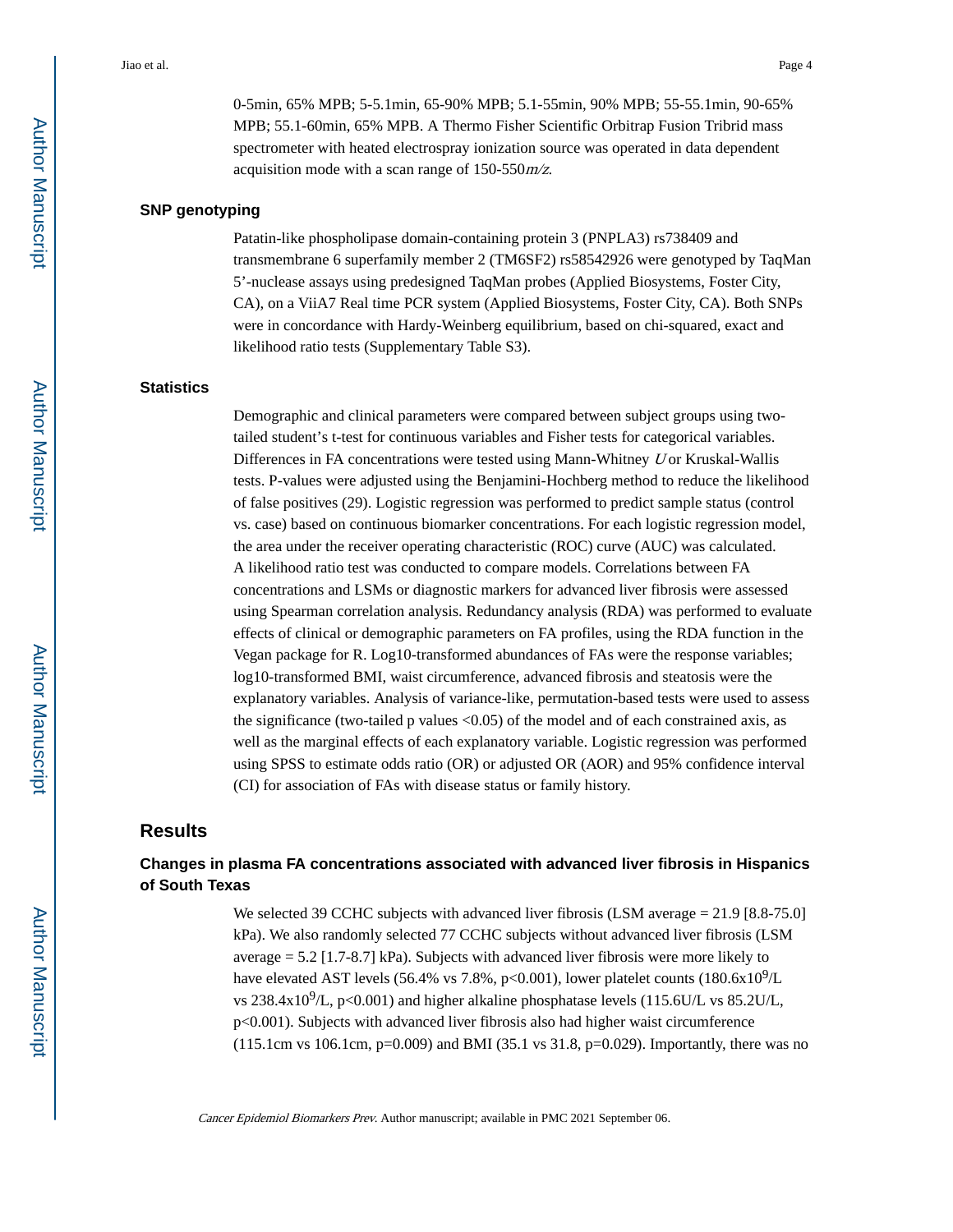0-5min, 65% MPB; 5-5.1min, 65-90% MPB; 5.1-55min, 90% MPB; 55-55.1min, 90-65% MPB; 55.1-60min, 65% MPB. A Thermo Fisher Scientific Orbitrap Fusion Tribrid mass spectrometer with heated electrospray ionization source was operated in data dependent acquisition mode with a scan range of 150-550m/z.

### **SNP genotyping**

Patatin-like phospholipase domain-containing protein 3 (PNPLA3) rs738409 and transmembrane 6 superfamily member 2 (TM6SF2) rs58542926 were genotyped by TaqMan 5'-nuclease assays using predesigned TaqMan probes (Applied Biosystems, Foster City, CA), on a ViiA7 Real time PCR system (Applied Biosystems, Foster City, CA). Both SNPs were in concordance with Hardy-Weinberg equilibrium, based on chi-squared, exact and likelihood ratio tests (Supplementary Table S3).

#### **Statistics**

Demographic and clinical parameters were compared between subject groups using twotailed student's t-test for continuous variables and Fisher tests for categorical variables. Differences in FA concentrations were tested using Mann-Whitney U or Kruskal-Wallis tests. P-values were adjusted using the Benjamini-Hochberg method to reduce the likelihood of false positives (29). Logistic regression was performed to predict sample status (control vs. case) based on continuous biomarker concentrations. For each logistic regression model, the area under the receiver operating characteristic (ROC) curve (AUC) was calculated. A likelihood ratio test was conducted to compare models. Correlations between FA concentrations and LSMs or diagnostic markers for advanced liver fibrosis were assessed using Spearman correlation analysis. Redundancy analysis (RDA) was performed to evaluate effects of clinical or demographic parameters on FA profiles, using the RDA function in the Vegan package for R. Log10-transformed abundances of FAs were the response variables; log10-transformed BMI, waist circumference, advanced fibrosis and steatosis were the explanatory variables. Analysis of variance-like, permutation-based tests were used to assess the significance (two-tailed p values  $\langle 0.05 \rangle$  of the model and of each constrained axis, as well as the marginal effects of each explanatory variable. Logistic regression was performed using SPSS to estimate odds ratio (OR) or adjusted OR (AOR) and 95% confidence interval (CI) for association of FAs with disease status or family history.

### **Results**

## **Changes in plasma FA concentrations associated with advanced liver fibrosis in Hispanics of South Texas**

We selected 39 CCHC subjects with advanced liver fibrosis (LSM average = 21.9 [8.8-75.0] kPa). We also randomly selected 77 CCHC subjects without advanced liver fibrosis (LSM average = 5.2 [1.7-8.7] kPa). Subjects with advanced liver fibrosis were more likely to have elevated AST levels (56.4% vs 7.8%, p<0.001), lower platelet counts (180.6x10<sup>9</sup>/L vs 238.4x10<sup>9</sup>/L, p<0.001) and higher alkaline phosphatase levels (115.6U/L vs 85.2U/L, p<0.001). Subjects with advanced liver fibrosis also had higher waist circumference (115.1cm vs 106.1cm, p=0.009) and BMI (35.1 vs 31.8, p=0.029). Importantly, there was no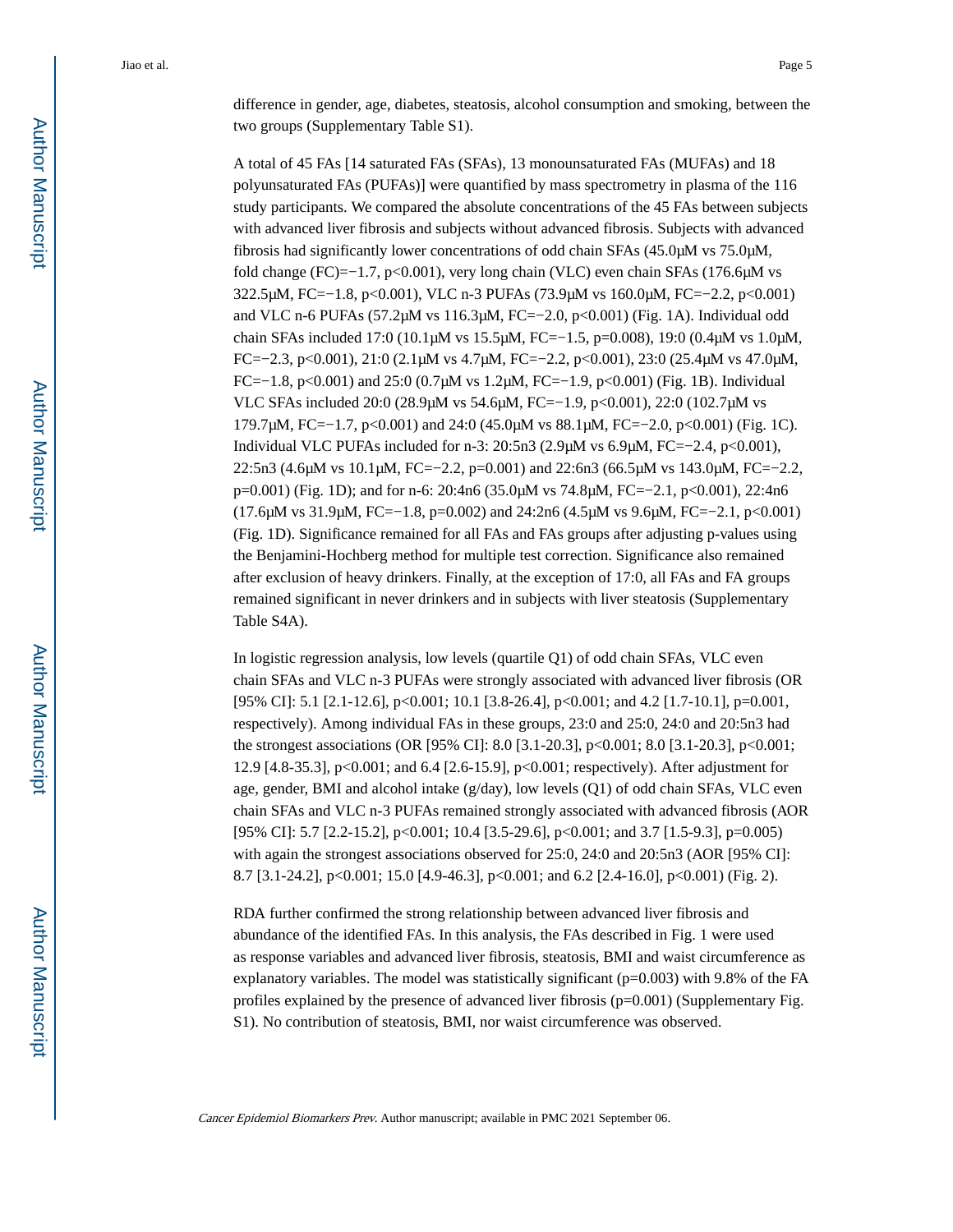A total of 45 FAs [14 saturated FAs (SFAs), 13 monounsaturated FAs (MUFAs) and 18 polyunsaturated FAs (PUFAs)] were quantified by mass spectrometry in plasma of the 116 study participants. We compared the absolute concentrations of the 45 FAs between subjects with advanced liver fibrosis and subjects without advanced fibrosis. Subjects with advanced fibrosis had significantly lower concentrations of odd chain SFAs (45.0μM vs 75.0μM, fold change (FC)=−1.7, p<0.001), very long chain (VLC) even chain SFAs (176.6μM vs 322.5μM, FC=−1.8, p<0.001), VLC n-3 PUFAs (73.9μM vs 160.0μM, FC=−2.2, p<0.001) and VLC n-6 PUFAs (57.2μM vs 116.3μM, FC=−2.0, p<0.001) (Fig. 1A). Individual odd chain SFAs included 17:0 (10.1μM vs 15.5μM, FC=−1.5, p=0.008), 19:0 (0.4μM vs 1.0μM, FC=−2.3, p<0.001), 21:0 (2.1μM vs 4.7μM, FC=−2.2, p<0.001), 23:0 (25.4μM vs 47.0μM, FC=−1.8, p<0.001) and 25:0 (0.7μM vs 1.2μM, FC=−1.9, p<0.001) (Fig. 1B). Individual VLC SFAs included 20:0 (28.9μM vs 54.6μM, FC=−1.9, p<0.001), 22:0 (102.7μM vs 179.7μM, FC=−1.7, p<0.001) and 24:0 (45.0μM vs 88.1μM, FC=−2.0, p<0.001) (Fig. 1C). Individual VLC PUFAs included for n-3: 20:5n3 (2.9µM vs 6.9µM, FC= $-2.4$ , p<0.001), 22:5n3 (4.6μM vs 10.1μM, FC=−2.2, p=0.001) and 22:6n3 (66.5μM vs 143.0μM, FC=−2.2, p=0.001) (Fig. 1D); and for n-6: 20:4n6 (35.0μM vs 74.8μM, FC=−2.1, p<0.001), 22:4n6 (17.6μM vs 31.9μM, FC=−1.8, p=0.002) and 24:2n6 (4.5μM vs 9.6μM, FC=−2.1, p<0.001) (Fig. 1D). Significance remained for all FAs and FAs groups after adjusting p-values using the Benjamini-Hochberg method for multiple test correction. Significance also remained after exclusion of heavy drinkers. Finally, at the exception of 17:0, all FAs and FA groups remained significant in never drinkers and in subjects with liver steatosis (Supplementary Table S4A).

In logistic regression analysis, low levels (quartile Q1) of odd chain SFAs, VLC even chain SFAs and VLC n-3 PUFAs were strongly associated with advanced liver fibrosis (OR [95% CI]: 5.1 [2.1-12.6], p<0.001; 10.1 [3.8-26.4], p<0.001; and 4.2 [1.7-10.1], p=0.001, respectively). Among individual FAs in these groups, 23:0 and 25:0, 24:0 and 20:5n3 had the strongest associations (OR [95% CI]: 8.0 [3.1-20.3], p<0.001; 8.0 [3.1-20.3], p<0.001; 12.9 [4.8-35.3], p<0.001; and 6.4 [2.6-15.9], p<0.001; respectively). After adjustment for age, gender, BMI and alcohol intake (g/day), low levels (Q1) of odd chain SFAs, VLC even chain SFAs and VLC n-3 PUFAs remained strongly associated with advanced fibrosis (AOR [95% CI]: 5.7 [2.2-15.2], p<0.001; 10.4 [3.5-29.6], p<0.001; and 3.7 [1.5-9.3], p=0.005) with again the strongest associations observed for 25:0, 24:0 and 20:5n3 (AOR [95% CI]: 8.7 [3.1-24.2], p<0.001; 15.0 [4.9-46.3], p<0.001; and 6.2 [2.4-16.0], p<0.001) (Fig. 2).

RDA further confirmed the strong relationship between advanced liver fibrosis and abundance of the identified FAs. In this analysis, the FAs described in Fig. 1 were used as response variables and advanced liver fibrosis, steatosis, BMI and waist circumference as explanatory variables. The model was statistically significant (p=0.003) with 9.8% of the FA profiles explained by the presence of advanced liver fibrosis (p=0.001) (Supplementary Fig. S1). No contribution of steatosis, BMI, nor waist circumference was observed.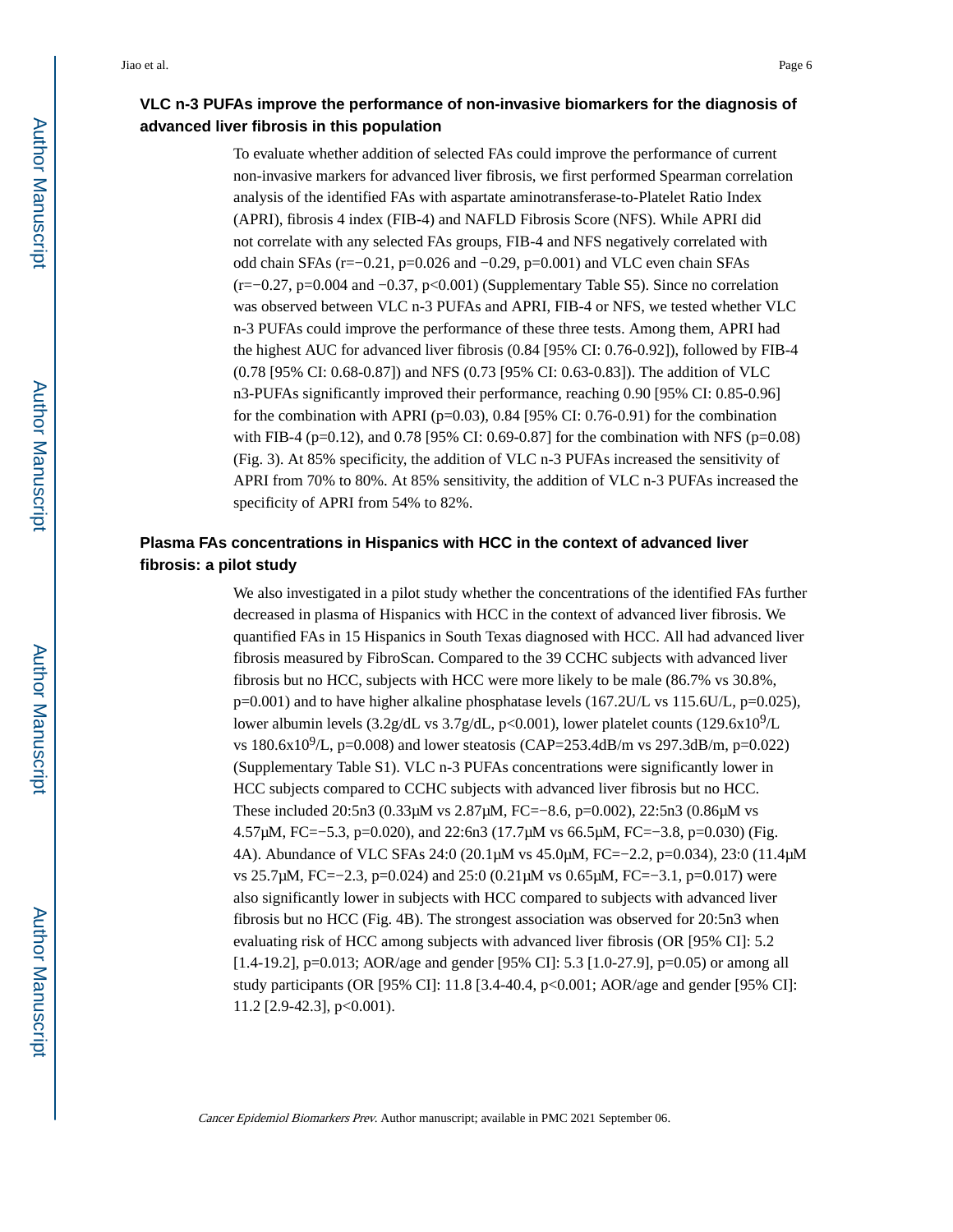## **VLC n-3 PUFAs improve the performance of non-invasive biomarkers for the diagnosis of advanced liver fibrosis in this population**

To evaluate whether addition of selected FAs could improve the performance of current non-invasive markers for advanced liver fibrosis, we first performed Spearman correlation analysis of the identified FAs with aspartate aminotransferase-to-Platelet Ratio Index (APRI), fibrosis 4 index (FIB-4) and NAFLD Fibrosis Score (NFS). While APRI did not correlate with any selected FAs groups, FIB-4 and NFS negatively correlated with odd chain SFAs (r=−0.21, p=0.026 and −0.29, p=0.001) and VLC even chain SFAs (r=−0.27, p=0.004 and −0.37, p<0.001) (Supplementary Table S5). Since no correlation was observed between VLC n-3 PUFAs and APRI, FIB-4 or NFS, we tested whether VLC n-3 PUFAs could improve the performance of these three tests. Among them, APRI had the highest AUC for advanced liver fibrosis (0.84 [95% CI: 0.76-0.92]), followed by FIB-4 (0.78 [95% CI: 0.68-0.87]) and NFS (0.73 [95% CI: 0.63-0.83]). The addition of VLC n3-PUFAs significantly improved their performance, reaching 0.90 [95% CI: 0.85-0.96] for the combination with APRI ( $p=0.03$ ), 0.84 [95% CI: 0.76-0.91) for the combination with FIB-4 (p=0.12), and 0.78 [95% CI: 0.69-0.87] for the combination with NFS (p=0.08) (Fig. 3). At 85% specificity, the addition of VLC n-3 PUFAs increased the sensitivity of APRI from 70% to 80%. At 85% sensitivity, the addition of VLC n-3 PUFAs increased the specificity of APRI from 54% to 82%.

## **Plasma FAs concentrations in Hispanics with HCC in the context of advanced liver fibrosis: a pilot study**

We also investigated in a pilot study whether the concentrations of the identified FAs further decreased in plasma of Hispanics with HCC in the context of advanced liver fibrosis. We quantified FAs in 15 Hispanics in South Texas diagnosed with HCC. All had advanced liver fibrosis measured by FibroScan. Compared to the 39 CCHC subjects with advanced liver fibrosis but no HCC, subjects with HCC were more likely to be male (86.7% vs 30.8%, p=0.001) and to have higher alkaline phosphatase levels (167.2U/L vs 115.6U/L, p=0.025), lower albumin levels  $(3.2g/dL \text{ vs } 3.7g/dL, p<0.001)$ , lower platelet counts  $(129.6x10^9/L)$ vs 180.6x10<sup>9</sup>/L, p=0.008) and lower steatosis (CAP=253.4dB/m vs 297.3dB/m, p=0.022) (Supplementary Table S1). VLC n-3 PUFAs concentrations were significantly lower in HCC subjects compared to CCHC subjects with advanced liver fibrosis but no HCC. These included 20:5n3 (0.33μM vs 2.87μM, FC=−8.6, p=0.002), 22:5n3 (0.86μM vs 4.57μM, FC=−5.3, p=0.020), and 22:6n3 (17.7μM vs 66.5μM, FC=−3.8, p=0.030) (Fig. 4A). Abundance of VLC SFAs 24:0 (20.1μM vs 45.0μM, FC=−2.2, p=0.034), 23:0 (11.4μM vs 25.7μM, FC=−2.3, p=0.024) and 25:0 (0.21μM vs 0.65μM, FC=−3.1, p=0.017) were also significantly lower in subjects with HCC compared to subjects with advanced liver fibrosis but no HCC (Fig. 4B). The strongest association was observed for 20:5n3 when evaluating risk of HCC among subjects with advanced liver fibrosis (OR [95% CI]: 5.2 [1.4-19.2], p=0.013; AOR/age and gender [95% CI]: 5.3 [1.0-27.9], p=0.05) or among all study participants (OR [95% CI]: 11.8 [3.4-40.4, p<0.001; AOR/age and gender [95% CI]: 11.2 [2.9-42.3], p<0.001).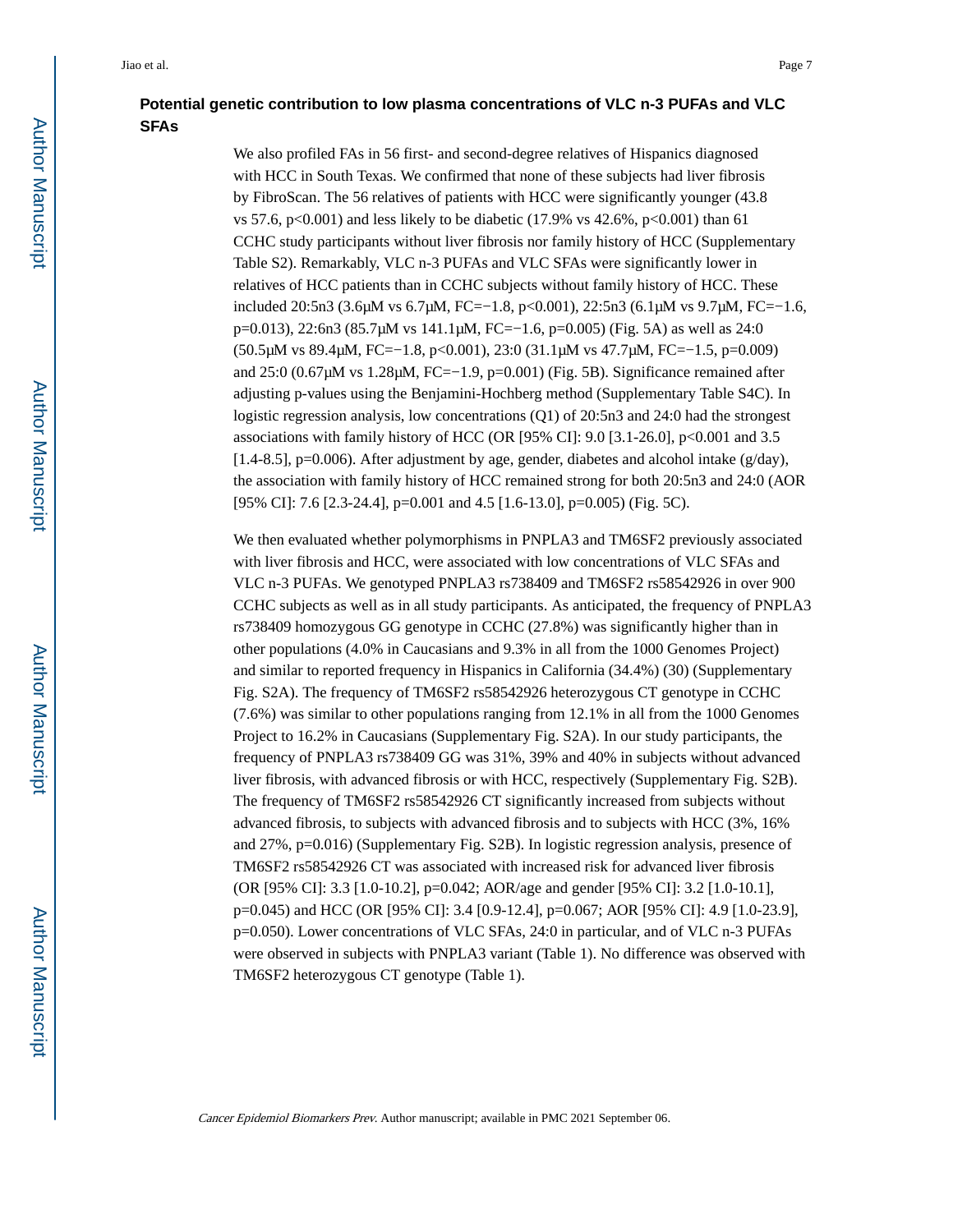## **Potential genetic contribution to low plasma concentrations of VLC n-3 PUFAs and VLC SFAs**

We also profiled FAs in 56 first- and second-degree relatives of Hispanics diagnosed with HCC in South Texas. We confirmed that none of these subjects had liver fibrosis by FibroScan. The 56 relatives of patients with HCC were significantly younger (43.8 vs 57.6, p<0.001) and less likely to be diabetic (17.9% vs 42.6%, p<0.001) than 61 CCHC study participants without liver fibrosis nor family history of HCC (Supplementary Table S2). Remarkably, VLC n-3 PUFAs and VLC SFAs were significantly lower in relatives of HCC patients than in CCHC subjects without family history of HCC. These included 20:5n3 (3.6μM vs 6.7μM, FC=−1.8, p<0.001), 22:5n3 (6.1μM vs 9.7μM, FC=−1.6, p=0.013), 22:6n3 (85.7μM vs 141.1μM, FC=−1.6, p=0.005) (Fig. 5A) as well as 24:0 (50.5μM vs 89.4μM, FC=−1.8, p<0.001), 23:0 (31.1μM vs 47.7μM, FC=−1.5, p=0.009) and 25:0 (0.67μM vs 1.28μM, FC=−1.9, p=0.001) (Fig. 5B). Significance remained after adjusting p-values using the Benjamini-Hochberg method (Supplementary Table S4C). In logistic regression analysis, low concentrations (Q1) of 20:5n3 and 24:0 had the strongest associations with family history of HCC (OR [95% CI]: 9.0 [3.1-26.0], p<0.001 and 3.5  $[1.4-8.5]$ , p=0.006). After adjustment by age, gender, diabetes and alcohol intake (g/day), the association with family history of HCC remained strong for both 20:5n3 and 24:0 (AOR [95% CI]: 7.6 [2.3-24.4], p=0.001 and 4.5 [1.6-13.0], p=0.005) (Fig. 5C).

We then evaluated whether polymorphisms in PNPLA3 and TM6SF2 previously associated with liver fibrosis and HCC, were associated with low concentrations of VLC SFAs and VLC n-3 PUFAs. We genotyped PNPLA3 rs738409 and TM6SF2 rs58542926 in over 900 CCHC subjects as well as in all study participants. As anticipated, the frequency of PNPLA3 rs738409 homozygous GG genotype in CCHC (27.8%) was significantly higher than in other populations (4.0% in Caucasians and 9.3% in all from the 1000 Genomes Project) and similar to reported frequency in Hispanics in California (34.4%) (30) (Supplementary Fig. S2A). The frequency of TM6SF2 rs58542926 heterozygous CT genotype in CCHC (7.6%) was similar to other populations ranging from 12.1% in all from the 1000 Genomes Project to 16.2% in Caucasians (Supplementary Fig. S2A). In our study participants, the frequency of PNPLA3 rs738409 GG was 31%, 39% and 40% in subjects without advanced liver fibrosis, with advanced fibrosis or with HCC, respectively (Supplementary Fig. S2B). The frequency of TM6SF2 rs58542926 CT significantly increased from subjects without advanced fibrosis, to subjects with advanced fibrosis and to subjects with HCC (3%, 16% and 27%, p=0.016) (Supplementary Fig. S2B). In logistic regression analysis, presence of TM6SF2 rs58542926 CT was associated with increased risk for advanced liver fibrosis (OR [95% CI]: 3.3 [1.0-10.2], p=0.042; AOR/age and gender [95% CI]: 3.2 [1.0-10.1], p=0.045) and HCC (OR [95% CI]: 3.4 [0.9-12.4], p=0.067; AOR [95% CI]: 4.9 [1.0-23.9], p=0.050). Lower concentrations of VLC SFAs, 24:0 in particular, and of VLC n-3 PUFAs were observed in subjects with PNPLA3 variant (Table 1). No difference was observed with TM6SF2 heterozygous CT genotype (Table 1).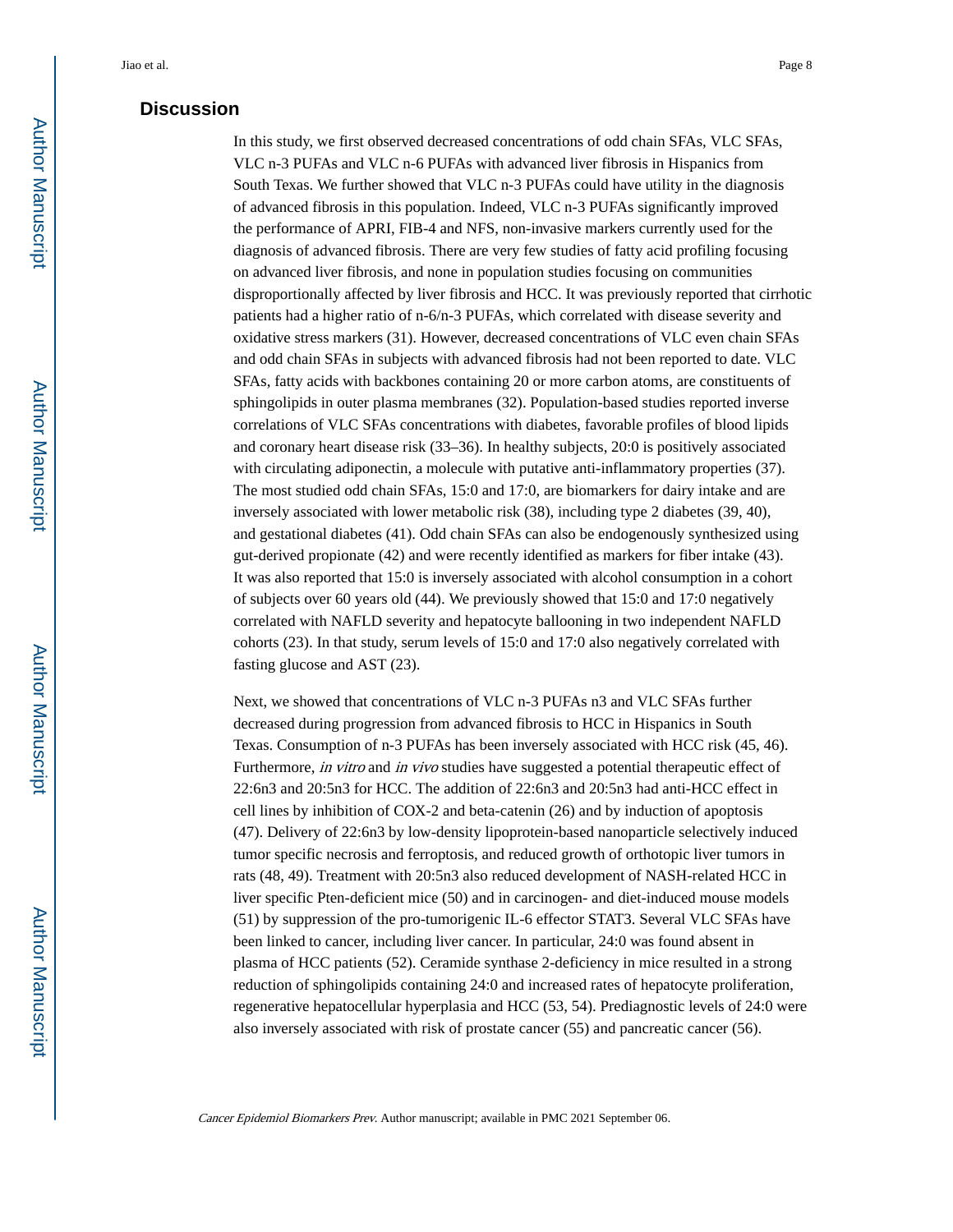#### **Discussion**

In this study, we first observed decreased concentrations of odd chain SFAs, VLC SFAs, VLC n-3 PUFAs and VLC n-6 PUFAs with advanced liver fibrosis in Hispanics from South Texas. We further showed that VLC n-3 PUFAs could have utility in the diagnosis of advanced fibrosis in this population. Indeed, VLC n-3 PUFAs significantly improved the performance of APRI, FIB-4 and NFS, non-invasive markers currently used for the diagnosis of advanced fibrosis. There are very few studies of fatty acid profiling focusing on advanced liver fibrosis, and none in population studies focusing on communities disproportionally affected by liver fibrosis and HCC. It was previously reported that cirrhotic patients had a higher ratio of n-6/n-3 PUFAs, which correlated with disease severity and oxidative stress markers (31). However, decreased concentrations of VLC even chain SFAs and odd chain SFAs in subjects with advanced fibrosis had not been reported to date. VLC SFAs, fatty acids with backbones containing 20 or more carbon atoms, are constituents of sphingolipids in outer plasma membranes (32). Population-based studies reported inverse correlations of VLC SFAs concentrations with diabetes, favorable profiles of blood lipids and coronary heart disease risk (33–36). In healthy subjects, 20:0 is positively associated with circulating adiponectin, a molecule with putative anti-inflammatory properties (37). The most studied odd chain SFAs, 15:0 and 17:0, are biomarkers for dairy intake and are inversely associated with lower metabolic risk (38), including type 2 diabetes (39, 40), and gestational diabetes (41). Odd chain SFAs can also be endogenously synthesized using gut-derived propionate (42) and were recently identified as markers for fiber intake (43). It was also reported that 15:0 is inversely associated with alcohol consumption in a cohort of subjects over 60 years old (44). We previously showed that 15:0 and 17:0 negatively correlated with NAFLD severity and hepatocyte ballooning in two independent NAFLD cohorts (23). In that study, serum levels of 15:0 and 17:0 also negatively correlated with fasting glucose and AST (23).

Next, we showed that concentrations of VLC n-3 PUFAs n3 and VLC SFAs further decreased during progression from advanced fibrosis to HCC in Hispanics in South Texas. Consumption of n-3 PUFAs has been inversely associated with HCC risk (45, 46). Furthermore, *in vitro* and *in vivo* studies have suggested a potential therapeutic effect of 22:6n3 and 20:5n3 for HCC. The addition of 22:6n3 and 20:5n3 had anti-HCC effect in cell lines by inhibition of COX-2 and beta-catenin (26) and by induction of apoptosis (47). Delivery of 22:6n3 by low-density lipoprotein-based nanoparticle selectively induced tumor specific necrosis and ferroptosis, and reduced growth of orthotopic liver tumors in rats (48, 49). Treatment with 20:5n3 also reduced development of NASH-related HCC in liver specific Pten-deficient mice (50) and in carcinogen- and diet-induced mouse models (51) by suppression of the pro-tumorigenic IL-6 effector STAT3. Several VLC SFAs have been linked to cancer, including liver cancer. In particular, 24:0 was found absent in plasma of HCC patients (52). Ceramide synthase 2-deficiency in mice resulted in a strong reduction of sphingolipids containing 24:0 and increased rates of hepatocyte proliferation, regenerative hepatocellular hyperplasia and HCC (53, 54). Prediagnostic levels of 24:0 were also inversely associated with risk of prostate cancer (55) and pancreatic cancer (56).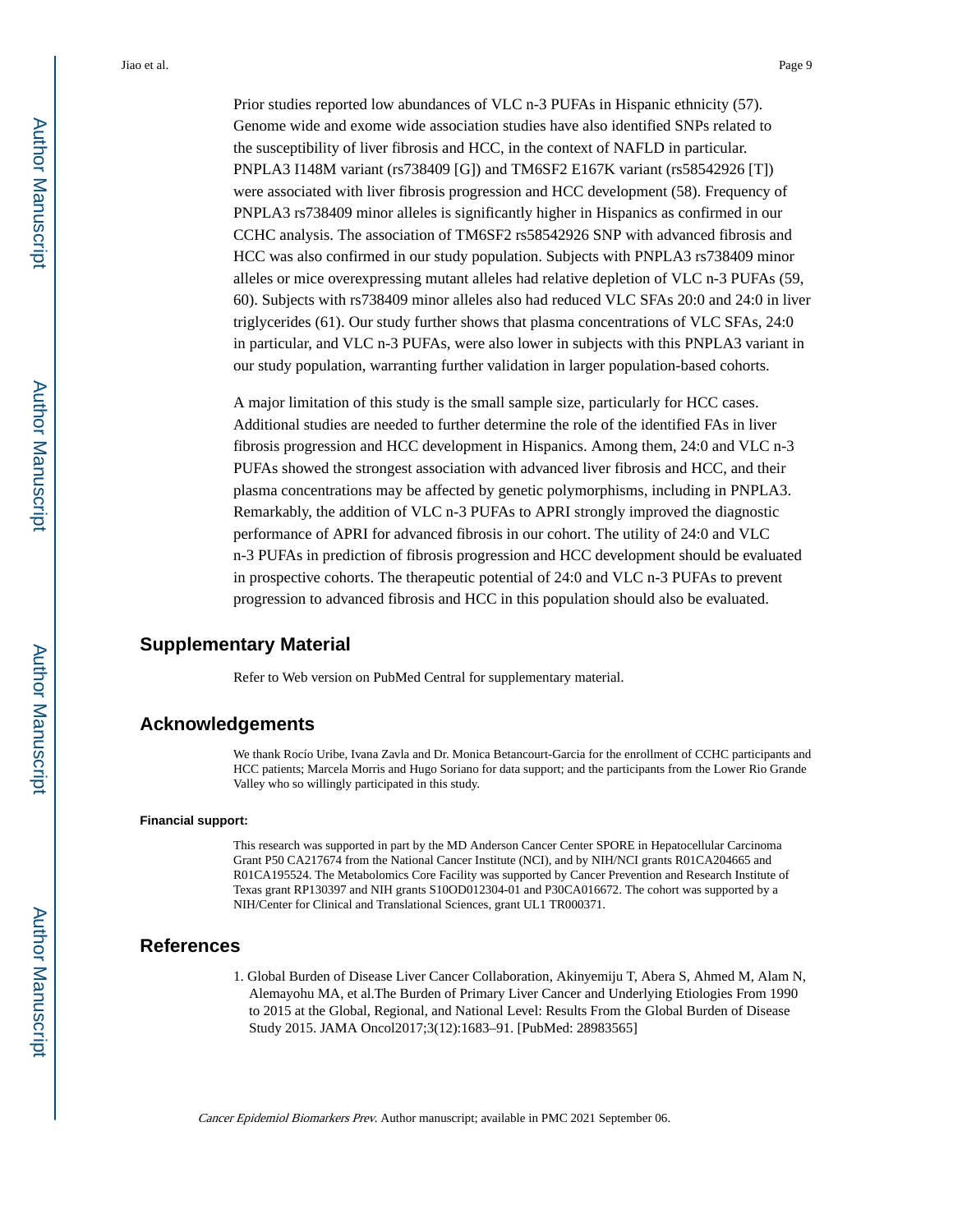Prior studies reported low abundances of VLC n-3 PUFAs in Hispanic ethnicity (57). Genome wide and exome wide association studies have also identified SNPs related to the susceptibility of liver fibrosis and HCC, in the context of NAFLD in particular. PNPLA3 I148M variant (rs738409 [G]) and TM6SF2 E167K variant (rs58542926 [T]) were associated with liver fibrosis progression and HCC development (58). Frequency of PNPLA3 rs738409 minor alleles is significantly higher in Hispanics as confirmed in our CCHC analysis. The association of TM6SF2 rs58542926 SNP with advanced fibrosis and HCC was also confirmed in our study population. Subjects with PNPLA3 rs738409 minor alleles or mice overexpressing mutant alleles had relative depletion of VLC n-3 PUFAs (59, 60). Subjects with rs738409 minor alleles also had reduced VLC SFAs 20:0 and 24:0 in liver triglycerides (61). Our study further shows that plasma concentrations of VLC SFAs, 24:0 in particular, and VLC n-3 PUFAs, were also lower in subjects with this PNPLA3 variant in our study population, warranting further validation in larger population-based cohorts.

A major limitation of this study is the small sample size, particularly for HCC cases. Additional studies are needed to further determine the role of the identified FAs in liver fibrosis progression and HCC development in Hispanics. Among them, 24:0 and VLC n-3 PUFAs showed the strongest association with advanced liver fibrosis and HCC, and their plasma concentrations may be affected by genetic polymorphisms, including in PNPLA3. Remarkably, the addition of VLC n-3 PUFAs to APRI strongly improved the diagnostic performance of APRI for advanced fibrosis in our cohort. The utility of 24:0 and VLC n-3 PUFAs in prediction of fibrosis progression and HCC development should be evaluated in prospective cohorts. The therapeutic potential of 24:0 and VLC n-3 PUFAs to prevent progression to advanced fibrosis and HCC in this population should also be evaluated.

#### **Supplementary Material**

Refer to Web version on PubMed Central for supplementary material.

#### **Acknowledgements**

We thank Rocío Uribe, Ivana Zavla and Dr. Monica Betancourt-Garcia for the enrollment of CCHC participants and HCC patients; Marcela Morris and Hugo Soriano for data support; and the participants from the Lower Rio Grande Valley who so willingly participated in this study.

#### **Financial support:**

This research was supported in part by the MD Anderson Cancer Center SPORE in Hepatocellular Carcinoma Grant P50 CA217674 from the National Cancer Institute (NCI), and by NIH/NCI grants R01CA204665 and R01CA195524. The Metabolomics Core Facility was supported by Cancer Prevention and Research Institute of Texas grant RP130397 and NIH grants S10OD012304-01 and P30CA016672. The cohort was supported by a NIH/Center for Clinical and Translational Sciences, grant UL1 TR000371.

#### **References**

1. Global Burden of Disease Liver Cancer Collaboration, Akinyemiju T, Abera S, Ahmed M, Alam N, Alemayohu MA, et al.The Burden of Primary Liver Cancer and Underlying Etiologies From 1990 to 2015 at the Global, Regional, and National Level: Results From the Global Burden of Disease Study 2015. JAMA Oncol2017;3(12):1683–91. [PubMed: 28983565]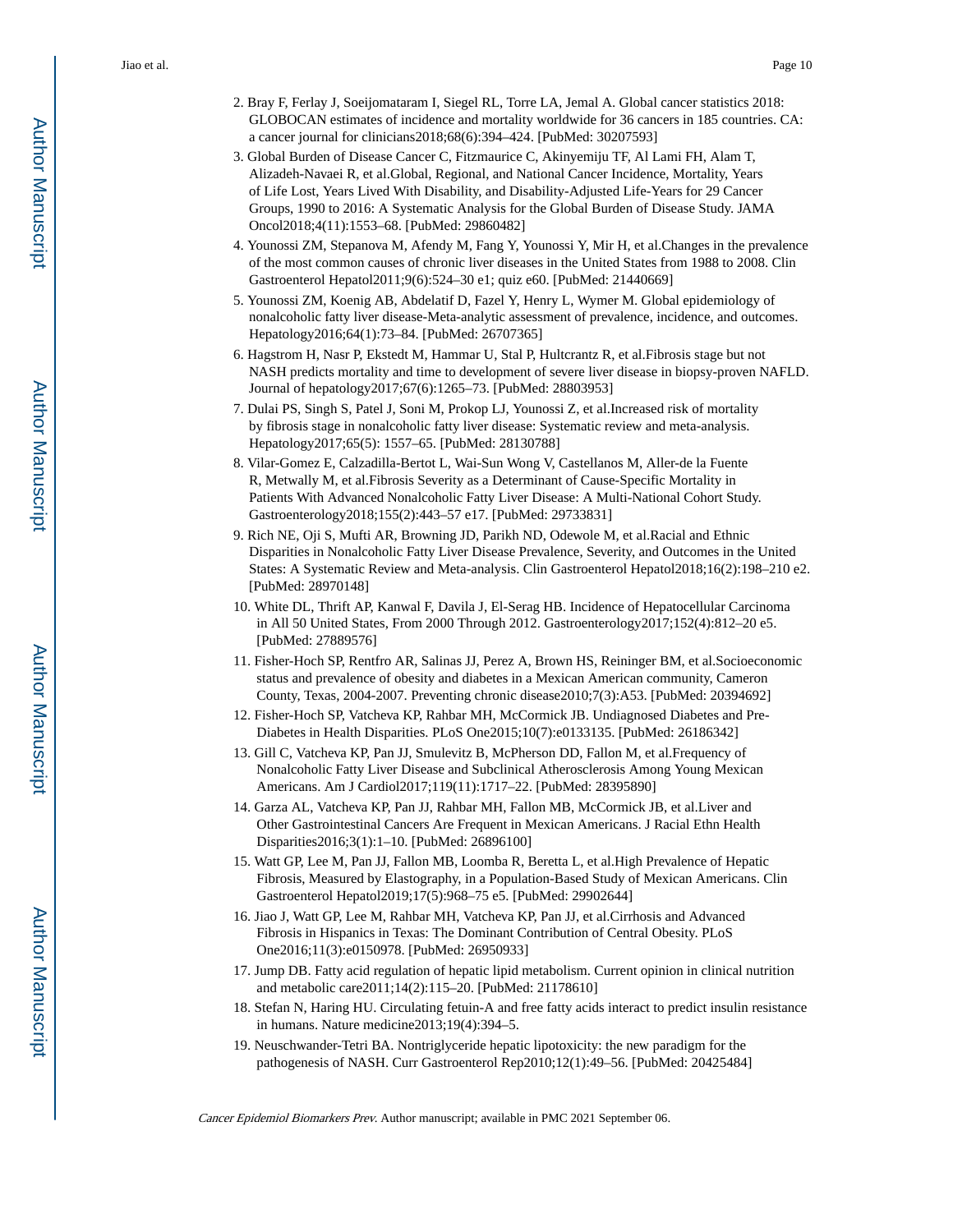- 2. Bray F, Ferlay J, Soeijomataram I, Siegel RL, Torre LA, Jemal A. Global cancer statistics 2018: GLOBOCAN estimates of incidence and mortality worldwide for 36 cancers in 185 countries. CA: a cancer journal for clinicians2018;68(6):394–424. [PubMed: 30207593]
- 3. Global Burden of Disease Cancer C, Fitzmaurice C, Akinyemiju TF, Al Lami FH, Alam T, Alizadeh-Navaei R, et al.Global, Regional, and National Cancer Incidence, Mortality, Years of Life Lost, Years Lived With Disability, and Disability-Adjusted Life-Years for 29 Cancer Groups, 1990 to 2016: A Systematic Analysis for the Global Burden of Disease Study. JAMA Oncol2018;4(11):1553–68. [PubMed: 29860482]
- 4. Younossi ZM, Stepanova M, Afendy M, Fang Y, Younossi Y, Mir H, et al.Changes in the prevalence of the most common causes of chronic liver diseases in the United States from 1988 to 2008. Clin Gastroenterol Hepatol2011;9(6):524–30 e1; quiz e60. [PubMed: 21440669]
- 5. Younossi ZM, Koenig AB, Abdelatif D, Fazel Y, Henry L, Wymer M. Global epidemiology of nonalcoholic fatty liver disease-Meta-analytic assessment of prevalence, incidence, and outcomes. Hepatology2016;64(1):73–84. [PubMed: 26707365]
- 6. Hagstrom H, Nasr P, Ekstedt M, Hammar U, Stal P, Hultcrantz R, et al.Fibrosis stage but not NASH predicts mortality and time to development of severe liver disease in biopsy-proven NAFLD. Journal of hepatology2017;67(6):1265–73. [PubMed: 28803953]
- 7. Dulai PS, Singh S, Patel J, Soni M, Prokop LJ, Younossi Z, et al.Increased risk of mortality by fibrosis stage in nonalcoholic fatty liver disease: Systematic review and meta-analysis. Hepatology2017;65(5): 1557–65. [PubMed: 28130788]
- 8. Vilar-Gomez E, Calzadilla-Bertot L, Wai-Sun Wong V, Castellanos M, Aller-de la Fuente R, Metwally M, et al.Fibrosis Severity as a Determinant of Cause-Specific Mortality in Patients With Advanced Nonalcoholic Fatty Liver Disease: A Multi-National Cohort Study. Gastroenterology2018;155(2):443–57 e17. [PubMed: 29733831]
- 9. Rich NE, Oji S, Mufti AR, Browning JD, Parikh ND, Odewole M, et al.Racial and Ethnic Disparities in Nonalcoholic Fatty Liver Disease Prevalence, Severity, and Outcomes in the United States: A Systematic Review and Meta-analysis. Clin Gastroenterol Hepatol2018;16(2):198–210 e2. [PubMed: 28970148]
- 10. White DL, Thrift AP, Kanwal F, Davila J, El-Serag HB. Incidence of Hepatocellular Carcinoma in All 50 United States, From 2000 Through 2012. Gastroenterology2017;152(4):812–20 e5. [PubMed: 27889576]
- 11. Fisher-Hoch SP, Rentfro AR, Salinas JJ, Perez A, Brown HS, Reininger BM, et al.Socioeconomic status and prevalence of obesity and diabetes in a Mexican American community, Cameron County, Texas, 2004-2007. Preventing chronic disease2010;7(3):A53. [PubMed: 20394692]
- 12. Fisher-Hoch SP, Vatcheva KP, Rahbar MH, McCormick JB. Undiagnosed Diabetes and Pre-Diabetes in Health Disparities. PLoS One2015;10(7):e0133135. [PubMed: 26186342]
- 13. Gill C, Vatcheva KP, Pan JJ, Smulevitz B, McPherson DD, Fallon M, et al.Frequency of Nonalcoholic Fatty Liver Disease and Subclinical Atherosclerosis Among Young Mexican Americans. Am J Cardiol2017;119(11):1717–22. [PubMed: 28395890]
- 14. Garza AL, Vatcheva KP, Pan JJ, Rahbar MH, Fallon MB, McCormick JB, et al.Liver and Other Gastrointestinal Cancers Are Frequent in Mexican Americans. J Racial Ethn Health Disparities2016;3(1):1–10. [PubMed: 26896100]
- 15. Watt GP, Lee M, Pan JJ, Fallon MB, Loomba R, Beretta L, et al.High Prevalence of Hepatic Fibrosis, Measured by Elastography, in a Population-Based Study of Mexican Americans. Clin Gastroenterol Hepatol2019;17(5):968–75 e5. [PubMed: 29902644]
- 16. Jiao J, Watt GP, Lee M, Rahbar MH, Vatcheva KP, Pan JJ, et al.Cirrhosis and Advanced Fibrosis in Hispanics in Texas: The Dominant Contribution of Central Obesity. PLoS One2016;11(3):e0150978. [PubMed: 26950933]
- 17. Jump DB. Fatty acid regulation of hepatic lipid metabolism. Current opinion in clinical nutrition and metabolic care2011;14(2):115–20. [PubMed: 21178610]
- 18. Stefan N, Haring HU. Circulating fetuin-A and free fatty acids interact to predict insulin resistance in humans. Nature medicine2013;19(4):394–5.
- 19. Neuschwander-Tetri BA. Nontriglyceride hepatic lipotoxicity: the new paradigm for the pathogenesis of NASH. Curr Gastroenterol Rep2010;12(1):49–56. [PubMed: 20425484]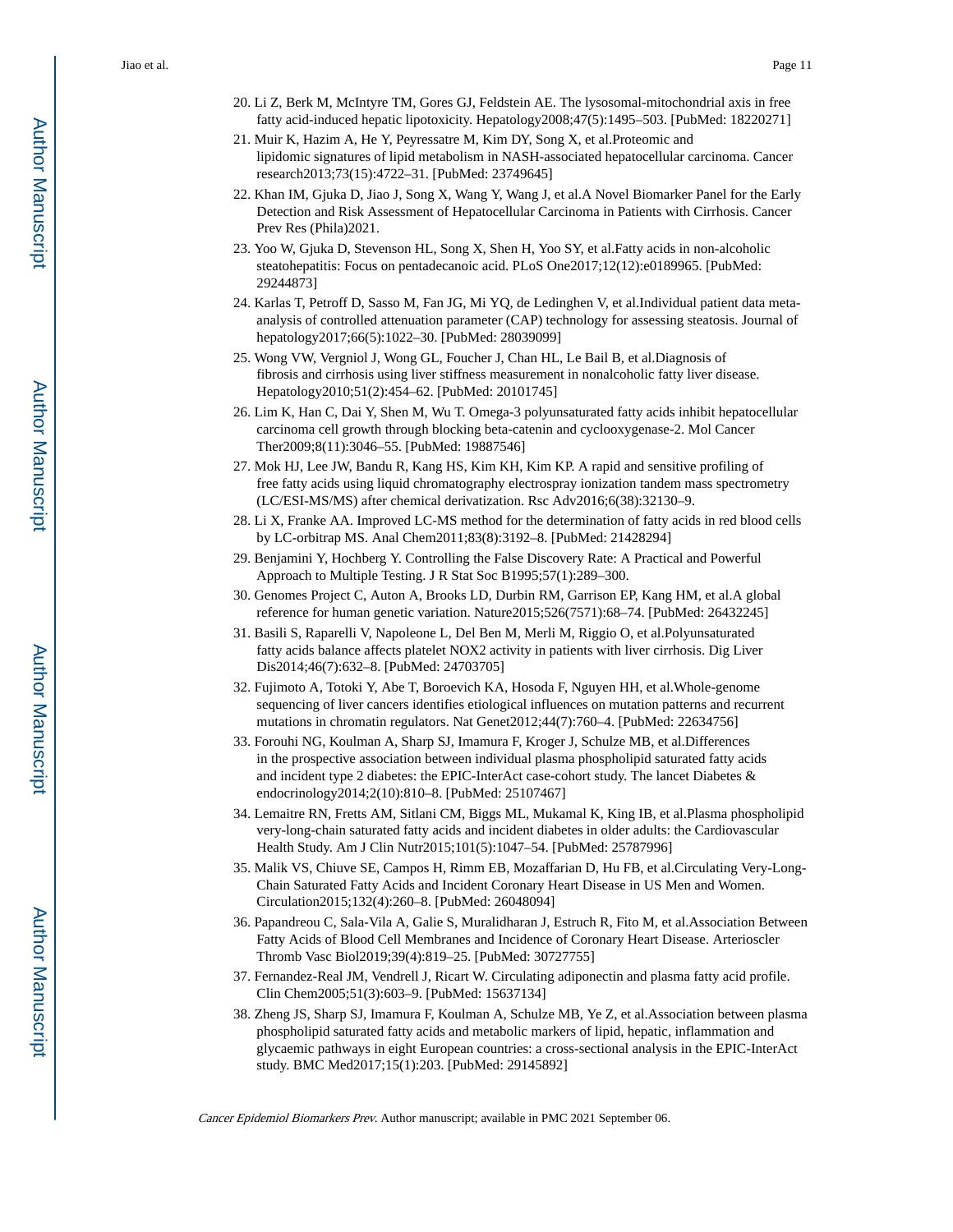- 20. Li Z, Berk M, McIntyre TM, Gores GJ, Feldstein AE. The lysosomal-mitochondrial axis in free fatty acid-induced hepatic lipotoxicity. Hepatology2008;47(5):1495–503. [PubMed: 18220271]
- 21. Muir K, Hazim A, He Y, Peyressatre M, Kim DY, Song X, et al.Proteomic and lipidomic signatures of lipid metabolism in NASH-associated hepatocellular carcinoma. Cancer research2013;73(15):4722–31. [PubMed: 23749645]
- 22. Khan IM, Gjuka D, Jiao J, Song X, Wang Y, Wang J, et al.A Novel Biomarker Panel for the Early Detection and Risk Assessment of Hepatocellular Carcinoma in Patients with Cirrhosis. Cancer Prev Res (Phila)2021.
- 23. Yoo W, Gjuka D, Stevenson HL, Song X, Shen H, Yoo SY, et al.Fatty acids in non-alcoholic steatohepatitis: Focus on pentadecanoic acid. PLoS One2017;12(12):e0189965. [PubMed: 29244873]
- 24. Karlas T, Petroff D, Sasso M, Fan JG, Mi YQ, de Ledinghen V, et al.Individual patient data metaanalysis of controlled attenuation parameter (CAP) technology for assessing steatosis. Journal of hepatology2017;66(5):1022–30. [PubMed: 28039099]
- 25. Wong VW, Vergniol J, Wong GL, Foucher J, Chan HL, Le Bail B, et al.Diagnosis of fibrosis and cirrhosis using liver stiffness measurement in nonalcoholic fatty liver disease. Hepatology2010;51(2):454–62. [PubMed: 20101745]
- 26. Lim K, Han C, Dai Y, Shen M, Wu T. Omega-3 polyunsaturated fatty acids inhibit hepatocellular carcinoma cell growth through blocking beta-catenin and cyclooxygenase-2. Mol Cancer Ther2009;8(11):3046–55. [PubMed: 19887546]
- 27. Mok HJ, Lee JW, Bandu R, Kang HS, Kim KH, Kim KP. A rapid and sensitive profiling of free fatty acids using liquid chromatography electrospray ionization tandem mass spectrometry (LC/ESI-MS/MS) after chemical derivatization. Rsc Adv2016;6(38):32130–9.
- 28. Li X, Franke AA. Improved LC-MS method for the determination of fatty acids in red blood cells by LC-orbitrap MS. Anal Chem2011;83(8):3192–8. [PubMed: 21428294]
- 29. Benjamini Y, Hochberg Y. Controlling the False Discovery Rate: A Practical and Powerful Approach to Multiple Testing. J R Stat Soc B1995;57(1):289–300.
- 30. Genomes Project C, Auton A, Brooks LD, Durbin RM, Garrison EP, Kang HM, et al.A global reference for human genetic variation. Nature2015;526(7571):68–74. [PubMed: 26432245]
- 31. Basili S, Raparelli V, Napoleone L, Del Ben M, Merli M, Riggio O, et al.Polyunsaturated fatty acids balance affects platelet NOX2 activity in patients with liver cirrhosis. Dig Liver Dis2014;46(7):632–8. [PubMed: 24703705]
- 32. Fujimoto A, Totoki Y, Abe T, Boroevich KA, Hosoda F, Nguyen HH, et al.Whole-genome sequencing of liver cancers identifies etiological influences on mutation patterns and recurrent mutations in chromatin regulators. Nat Genet2012;44(7):760–4. [PubMed: 22634756]
- 33. Forouhi NG, Koulman A, Sharp SJ, Imamura F, Kroger J, Schulze MB, et al.Differences in the prospective association between individual plasma phospholipid saturated fatty acids and incident type 2 diabetes: the EPIC-InterAct case-cohort study. The lancet Diabetes & endocrinology2014;2(10):810–8. [PubMed: 25107467]
- 34. Lemaitre RN, Fretts AM, Sitlani CM, Biggs ML, Mukamal K, King IB, et al.Plasma phospholipid very-long-chain saturated fatty acids and incident diabetes in older adults: the Cardiovascular Health Study. Am J Clin Nutr2015;101(5):1047–54. [PubMed: 25787996]
- 35. Malik VS, Chiuve SE, Campos H, Rimm EB, Mozaffarian D, Hu FB, et al.Circulating Very-Long-Chain Saturated Fatty Acids and Incident Coronary Heart Disease in US Men and Women. Circulation2015;132(4):260–8. [PubMed: 26048094]
- 36. Papandreou C, Sala-Vila A, Galie S, Muralidharan J, Estruch R, Fito M, et al.Association Between Fatty Acids of Blood Cell Membranes and Incidence of Coronary Heart Disease. Arterioscler Thromb Vasc Biol2019;39(4):819–25. [PubMed: 30727755]
- 37. Fernandez-Real JM, Vendrell J, Ricart W. Circulating adiponectin and plasma fatty acid profile. Clin Chem2005;51(3):603–9. [PubMed: 15637134]
- 38. Zheng JS, Sharp SJ, Imamura F, Koulman A, Schulze MB, Ye Z, et al.Association between plasma phospholipid saturated fatty acids and metabolic markers of lipid, hepatic, inflammation and glycaemic pathways in eight European countries: a cross-sectional analysis in the EPIC-InterAct study. BMC Med2017;15(1):203. [PubMed: 29145892]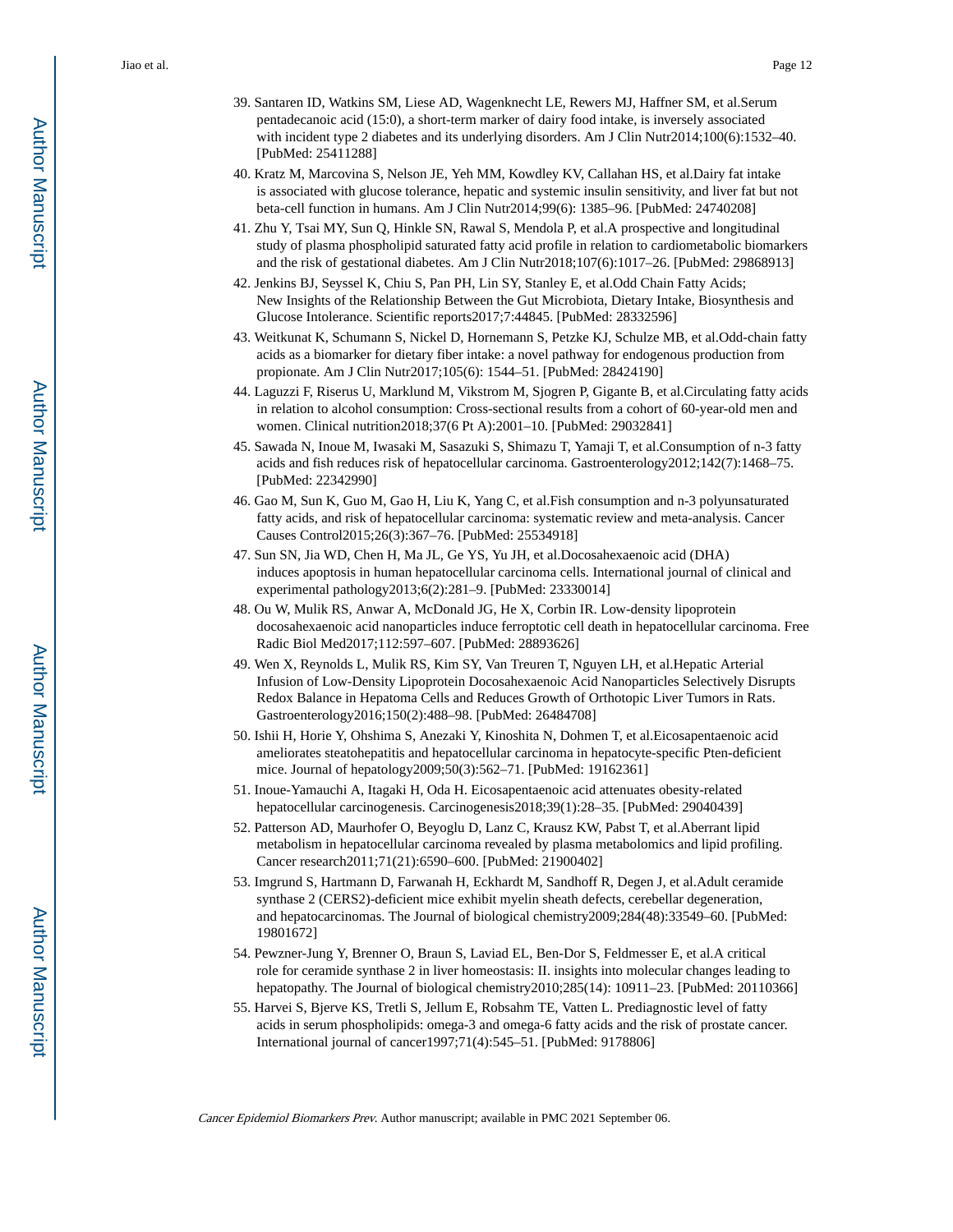- 39. Santaren ID, Watkins SM, Liese AD, Wagenknecht LE, Rewers MJ, Haffner SM, et al.Serum pentadecanoic acid (15:0), a short-term marker of dairy food intake, is inversely associated with incident type 2 diabetes and its underlying disorders. Am J Clin Nutr2014;100(6):1532–40. [PubMed: 25411288]
- 40. Kratz M, Marcovina S, Nelson JE, Yeh MM, Kowdley KV, Callahan HS, et al.Dairy fat intake is associated with glucose tolerance, hepatic and systemic insulin sensitivity, and liver fat but not beta-cell function in humans. Am J Clin Nutr2014;99(6): 1385–96. [PubMed: 24740208]
- 41. Zhu Y, Tsai MY, Sun Q, Hinkle SN, Rawal S, Mendola P, et al.A prospective and longitudinal study of plasma phospholipid saturated fatty acid profile in relation to cardiometabolic biomarkers and the risk of gestational diabetes. Am J Clin Nutr2018;107(6):1017–26. [PubMed: 29868913]
- 42. Jenkins BJ, Seyssel K, Chiu S, Pan PH, Lin SY, Stanley E, et al.Odd Chain Fatty Acids; New Insights of the Relationship Between the Gut Microbiota, Dietary Intake, Biosynthesis and Glucose Intolerance. Scientific reports2017;7:44845. [PubMed: 28332596]
- 43. Weitkunat K, Schumann S, Nickel D, Hornemann S, Petzke KJ, Schulze MB, et al.Odd-chain fatty acids as a biomarker for dietary fiber intake: a novel pathway for endogenous production from propionate. Am J Clin Nutr2017;105(6): 1544–51. [PubMed: 28424190]
- 44. Laguzzi F, Riserus U, Marklund M, Vikstrom M, Sjogren P, Gigante B, et al.Circulating fatty acids in relation to alcohol consumption: Cross-sectional results from a cohort of 60-year-old men and women. Clinical nutrition2018;37(6 Pt A):2001–10. [PubMed: 29032841]
- 45. Sawada N, Inoue M, Iwasaki M, Sasazuki S, Shimazu T, Yamaji T, et al.Consumption of n-3 fatty acids and fish reduces risk of hepatocellular carcinoma. Gastroenterology2012;142(7):1468–75. [PubMed: 22342990]
- 46. Gao M, Sun K, Guo M, Gao H, Liu K, Yang C, et al.Fish consumption and n-3 polyunsaturated fatty acids, and risk of hepatocellular carcinoma: systematic review and meta-analysis. Cancer Causes Control2015;26(3):367–76. [PubMed: 25534918]
- 47. Sun SN, Jia WD, Chen H, Ma JL, Ge YS, Yu JH, et al.Docosahexaenoic acid (DHA) induces apoptosis in human hepatocellular carcinoma cells. International journal of clinical and experimental pathology2013;6(2):281–9. [PubMed: 23330014]
- 48. Ou W, Mulik RS, Anwar A, McDonald JG, He X, Corbin IR. Low-density lipoprotein docosahexaenoic acid nanoparticles induce ferroptotic cell death in hepatocellular carcinoma. Free Radic Biol Med2017;112:597–607. [PubMed: 28893626]
- 49. Wen X, Reynolds L, Mulik RS, Kim SY, Van Treuren T, Nguyen LH, et al.Hepatic Arterial Infusion of Low-Density Lipoprotein Docosahexaenoic Acid Nanoparticles Selectively Disrupts Redox Balance in Hepatoma Cells and Reduces Growth of Orthotopic Liver Tumors in Rats. Gastroenterology2016;150(2):488–98. [PubMed: 26484708]
- 50. Ishii H, Horie Y, Ohshima S, Anezaki Y, Kinoshita N, Dohmen T, et al.Eicosapentaenoic acid ameliorates steatohepatitis and hepatocellular carcinoma in hepatocyte-specific Pten-deficient mice. Journal of hepatology2009;50(3):562–71. [PubMed: 19162361]
- 51. Inoue-Yamauchi A, Itagaki H, Oda H. Eicosapentaenoic acid attenuates obesity-related hepatocellular carcinogenesis. Carcinogenesis2018;39(1):28–35. [PubMed: 29040439]
- 52. Patterson AD, Maurhofer O, Beyoglu D, Lanz C, Krausz KW, Pabst T, et al.Aberrant lipid metabolism in hepatocellular carcinoma revealed by plasma metabolomics and lipid profiling. Cancer research2011;71(21):6590–600. [PubMed: 21900402]
- 53. Imgrund S, Hartmann D, Farwanah H, Eckhardt M, Sandhoff R, Degen J, et al.Adult ceramide synthase 2 (CERS2)-deficient mice exhibit myelin sheath defects, cerebellar degeneration, and hepatocarcinomas. The Journal of biological chemistry2009;284(48):33549–60. [PubMed: 19801672]
- 54. Pewzner-Jung Y, Brenner O, Braun S, Laviad EL, Ben-Dor S, Feldmesser E, et al.A critical role for ceramide synthase 2 in liver homeostasis: II. insights into molecular changes leading to hepatopathy. The Journal of biological chemistry 2010; 285(14): 10911–23. [PubMed: 20110366]
- 55. Harvei S, Bjerve KS, Tretli S, Jellum E, Robsahm TE, Vatten L. Prediagnostic level of fatty acids in serum phospholipids: omega-3 and omega-6 fatty acids and the risk of prostate cancer. International journal of cancer1997;71(4):545–51. [PubMed: 9178806]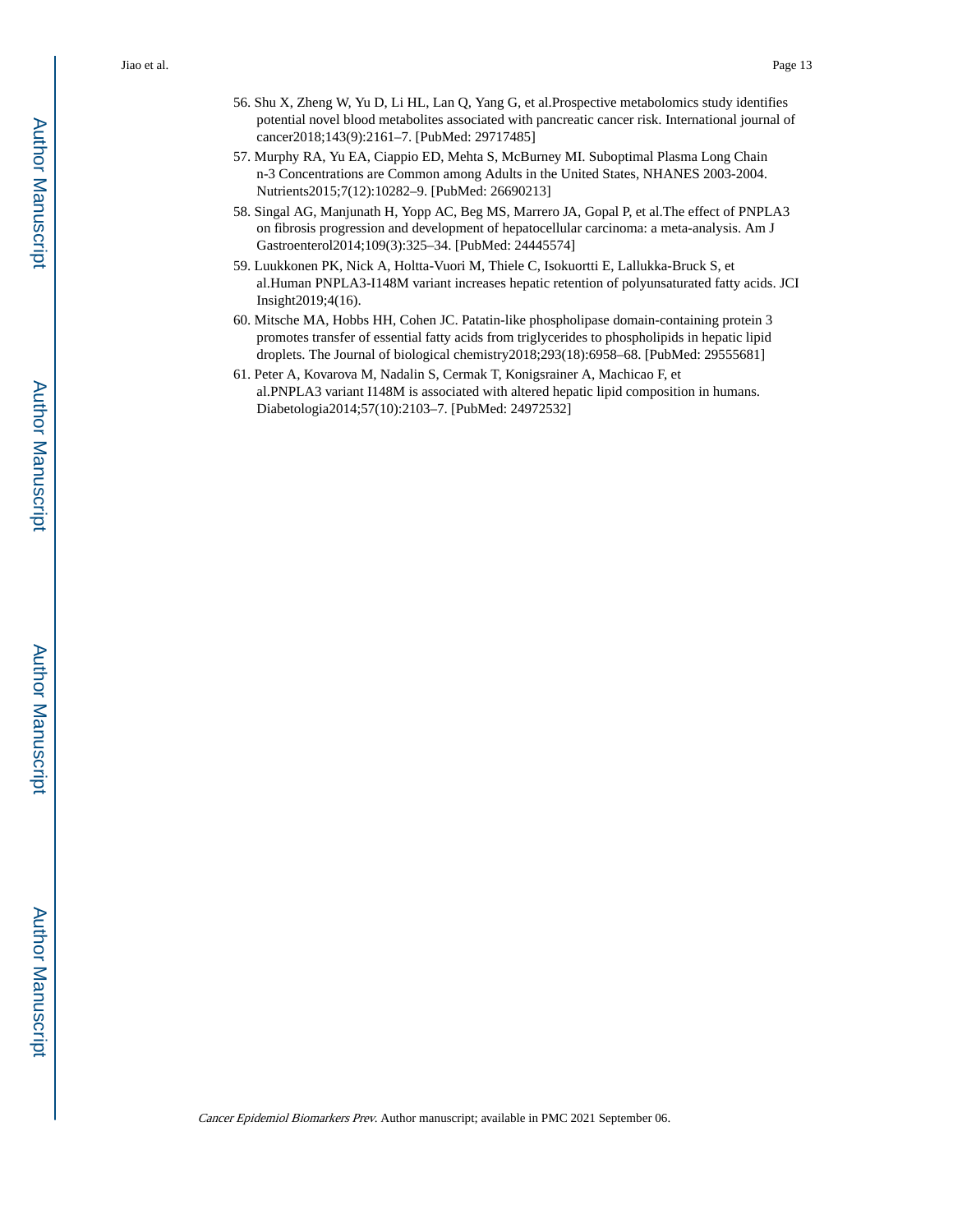- 56. Shu X, Zheng W, Yu D, Li HL, Lan Q, Yang G, et al.Prospective metabolomics study identifies potential novel blood metabolites associated with pancreatic cancer risk. International journal of cancer2018;143(9):2161–7. [PubMed: 29717485]
- 57. Murphy RA, Yu EA, Ciappio ED, Mehta S, McBurney MI. Suboptimal Plasma Long Chain n-3 Concentrations are Common among Adults in the United States, NHANES 2003-2004. Nutrients2015;7(12):10282–9. [PubMed: 26690213]
- 58. Singal AG, Manjunath H, Yopp AC, Beg MS, Marrero JA, Gopal P, et al.The effect of PNPLA3 on fibrosis progression and development of hepatocellular carcinoma: a meta-analysis. Am J Gastroenterol2014;109(3):325–34. [PubMed: 24445574]
- 59. Luukkonen PK, Nick A, Holtta-Vuori M, Thiele C, Isokuortti E, Lallukka-Bruck S, et al.Human PNPLA3-I148M variant increases hepatic retention of polyunsaturated fatty acids. JCI Insight2019;4(16).
- 60. Mitsche MA, Hobbs HH, Cohen JC. Patatin-like phospholipase domain-containing protein 3 promotes transfer of essential fatty acids from triglycerides to phospholipids in hepatic lipid droplets. The Journal of biological chemistry2018;293(18):6958–68. [PubMed: 29555681]
- 61. Peter A, Kovarova M, Nadalin S, Cermak T, Konigsrainer A, Machicao F, et al.PNPLA3 variant I148M is associated with altered hepatic lipid composition in humans. Diabetologia2014;57(10):2103–7. [PubMed: 24972532]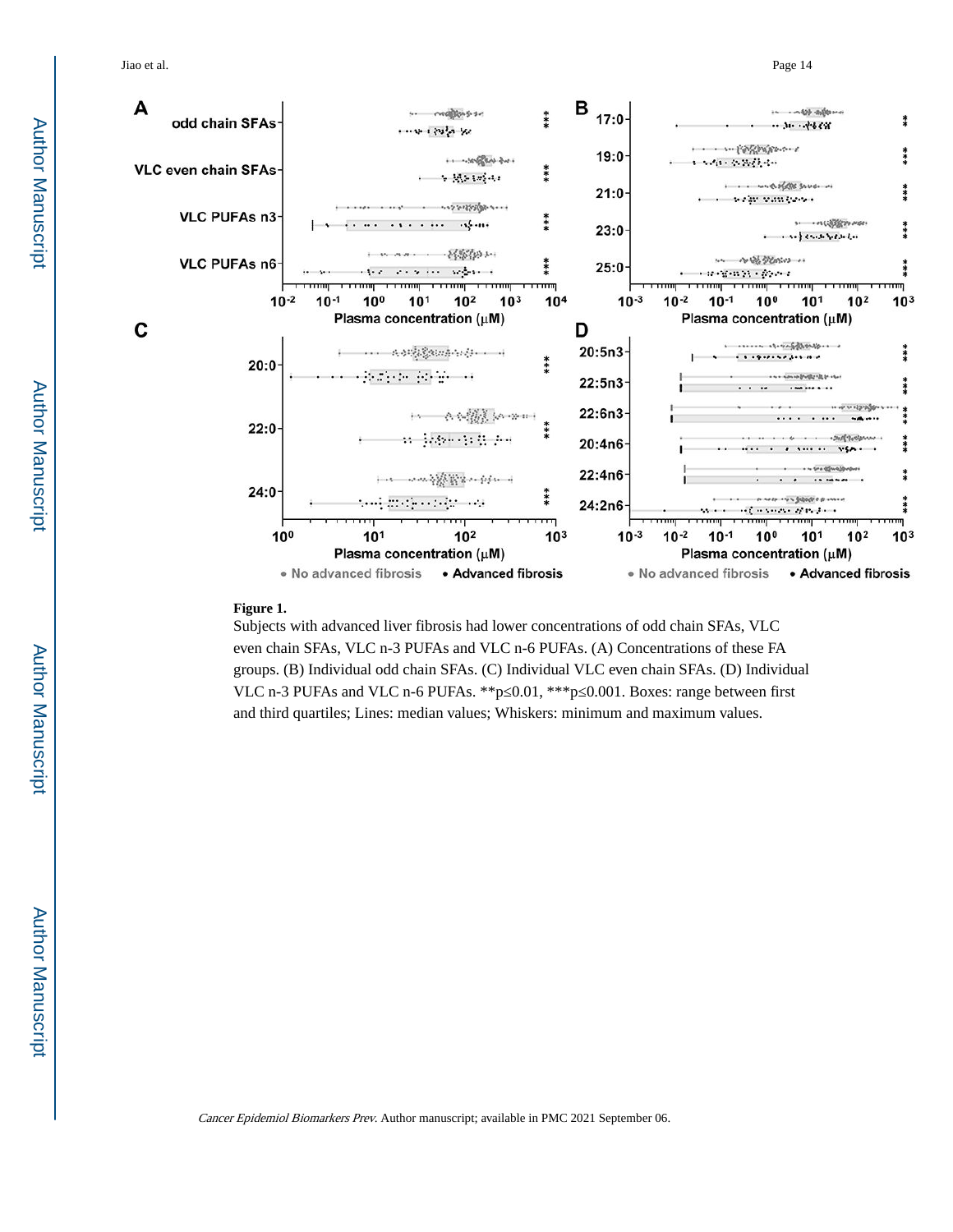

#### **Figure 1.**

Subjects with advanced liver fibrosis had lower concentrations of odd chain SFAs, VLC even chain SFAs, VLC n-3 PUFAs and VLC n-6 PUFAs. (A) Concentrations of these FA groups. (B) Individual odd chain SFAs. (C) Individual VLC even chain SFAs. (D) Individual VLC n-3 PUFAs and VLC n-6 PUFAs. \*\*p 0.01, \*\*\*p 0.001. Boxes: range between first and third quartiles; Lines: median values; Whiskers: minimum and maximum values.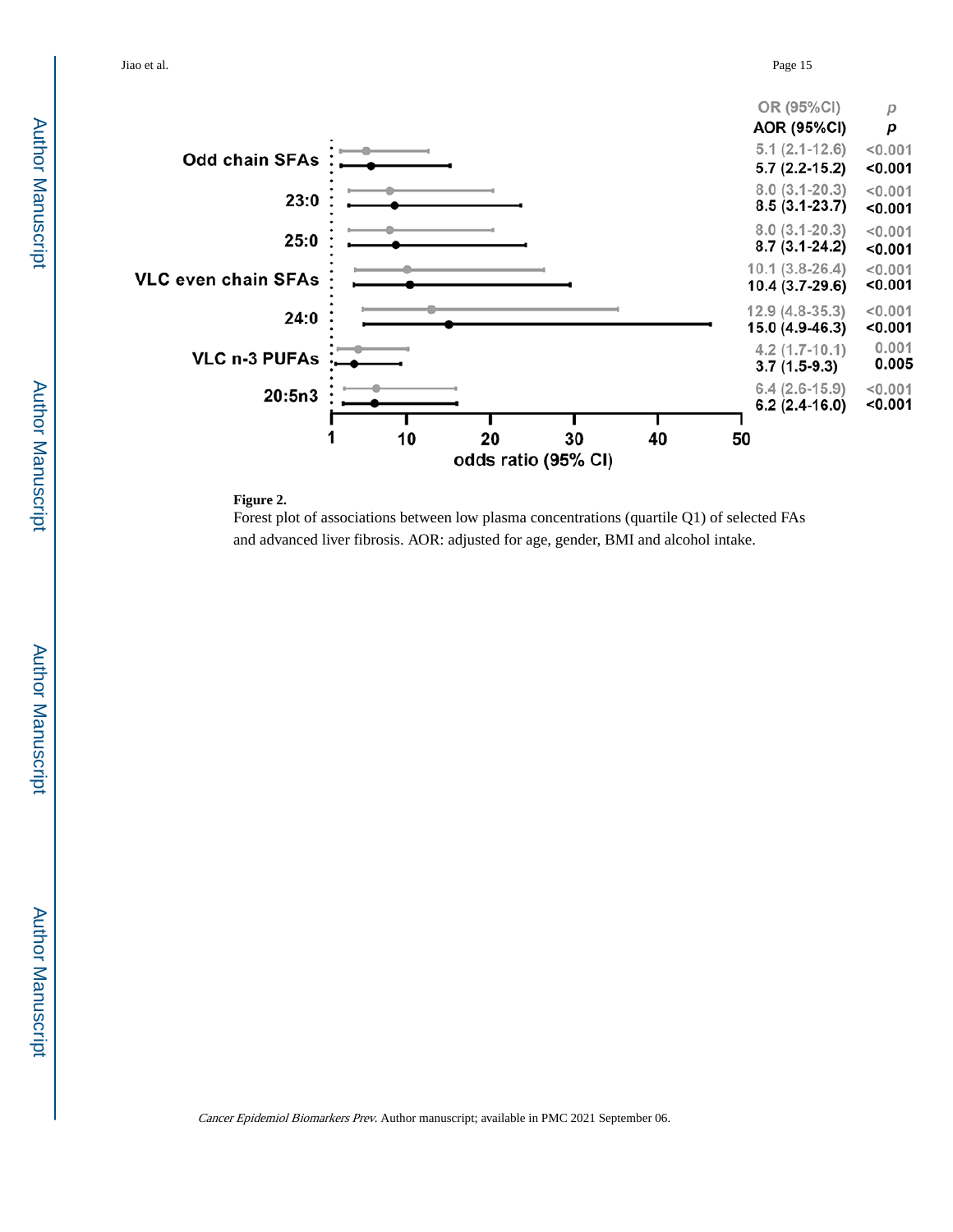

#### **Figure 2.**

Forest plot of associations between low plasma concentrations (quartile Q1) of selected FAs and advanced liver fibrosis. AOR: adjusted for age, gender, BMI and alcohol intake.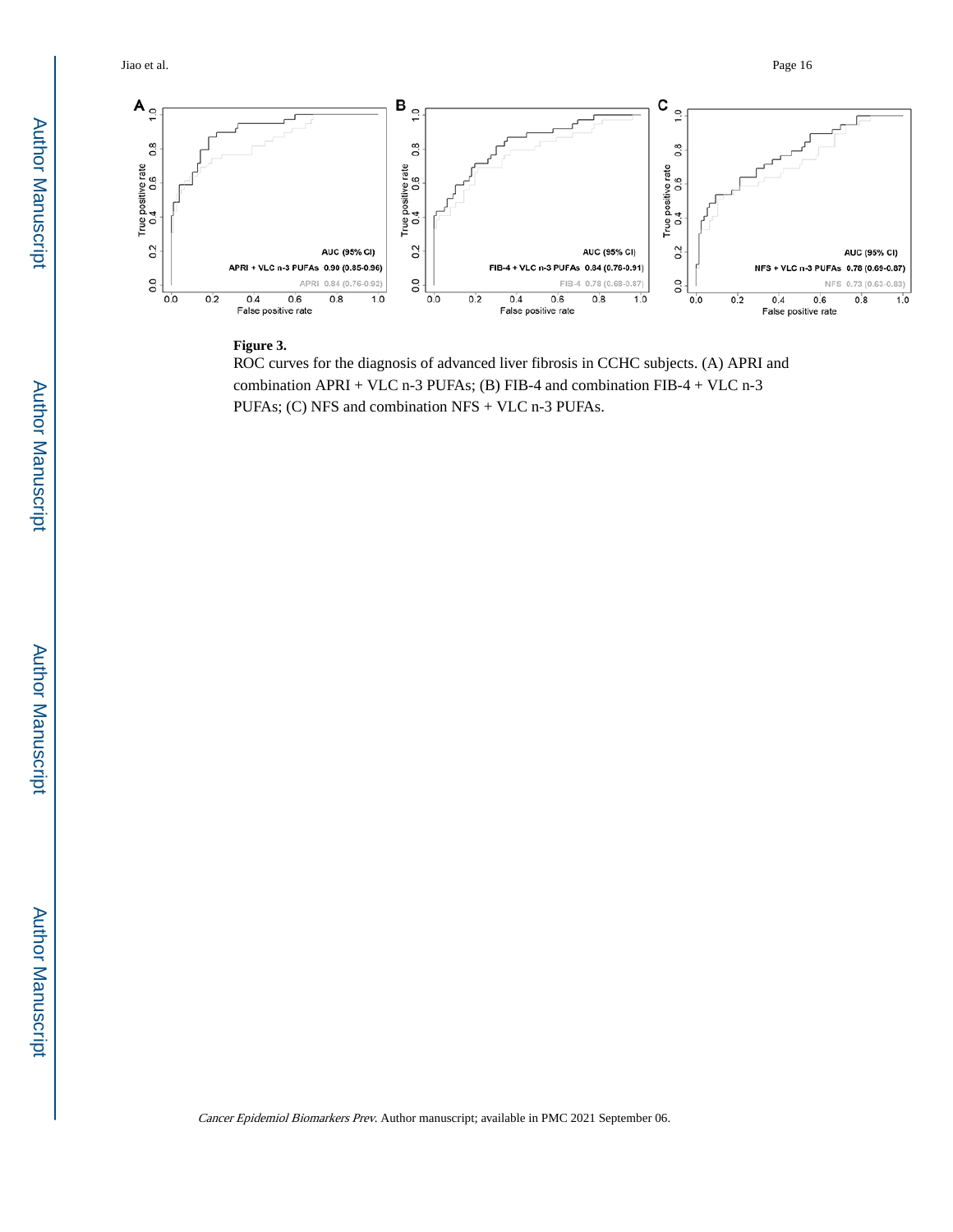Jiao et al. Page 16



#### **Figure 3.**

ROC curves for the diagnosis of advanced liver fibrosis in CCHC subjects. (A) APRI and combination APRI + VLC n-3 PUFAs; (B) FIB-4 and combination FIB-4 + VLC n-3 PUFAs; (C) NFS and combination NFS + VLC n-3 PUFAs.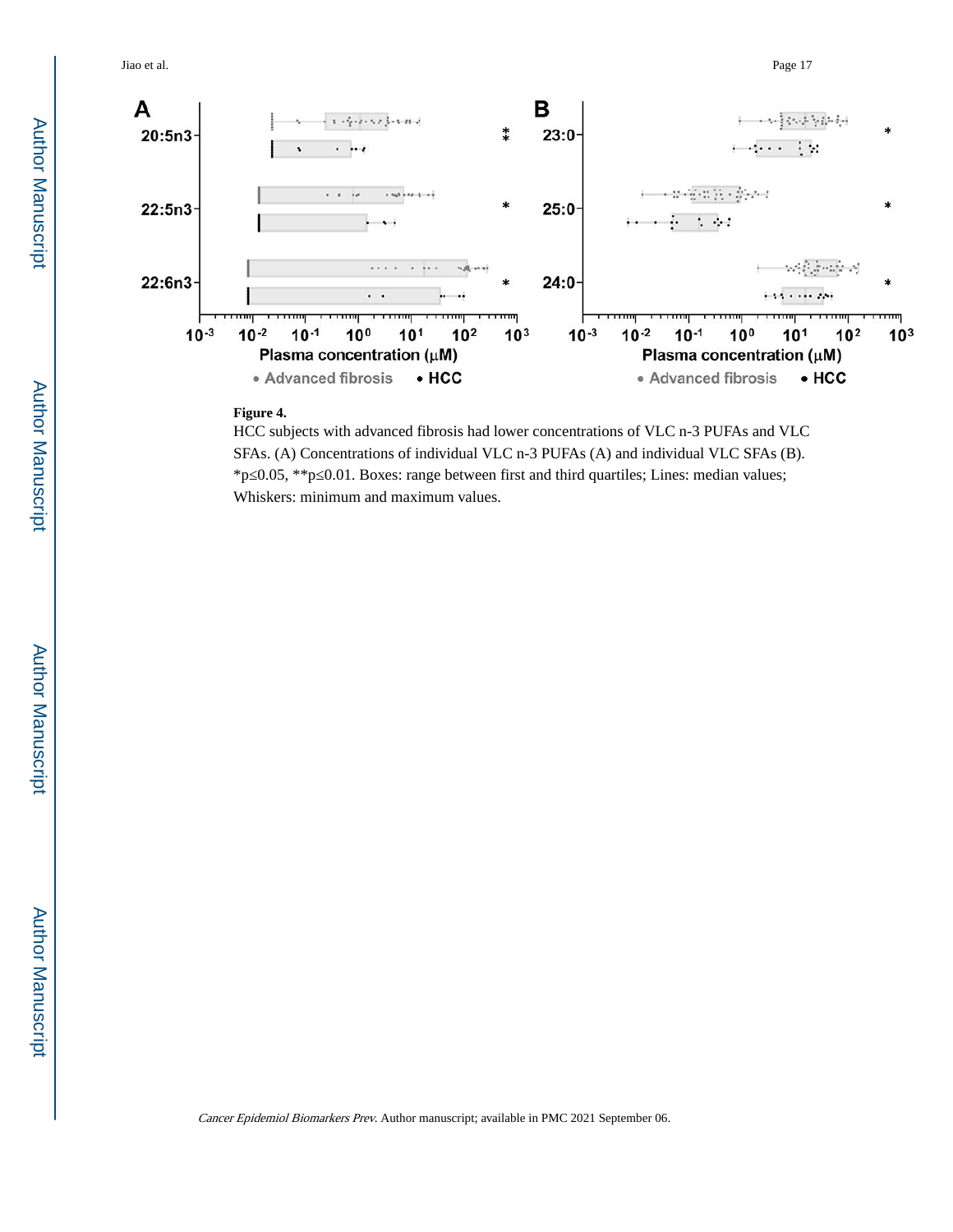Jiao et al. Page 17



#### **Figure 4.**

HCC subjects with advanced fibrosis had lower concentrations of VLC n-3 PUFAs and VLC SFAs. (A) Concentrations of individual VLC n-3 PUFAs (A) and individual VLC SFAs (B). \*p≤0.05, \*\*p≤0.01. Boxes: range between first and third quartiles; Lines: median values; Whiskers: minimum and maximum values.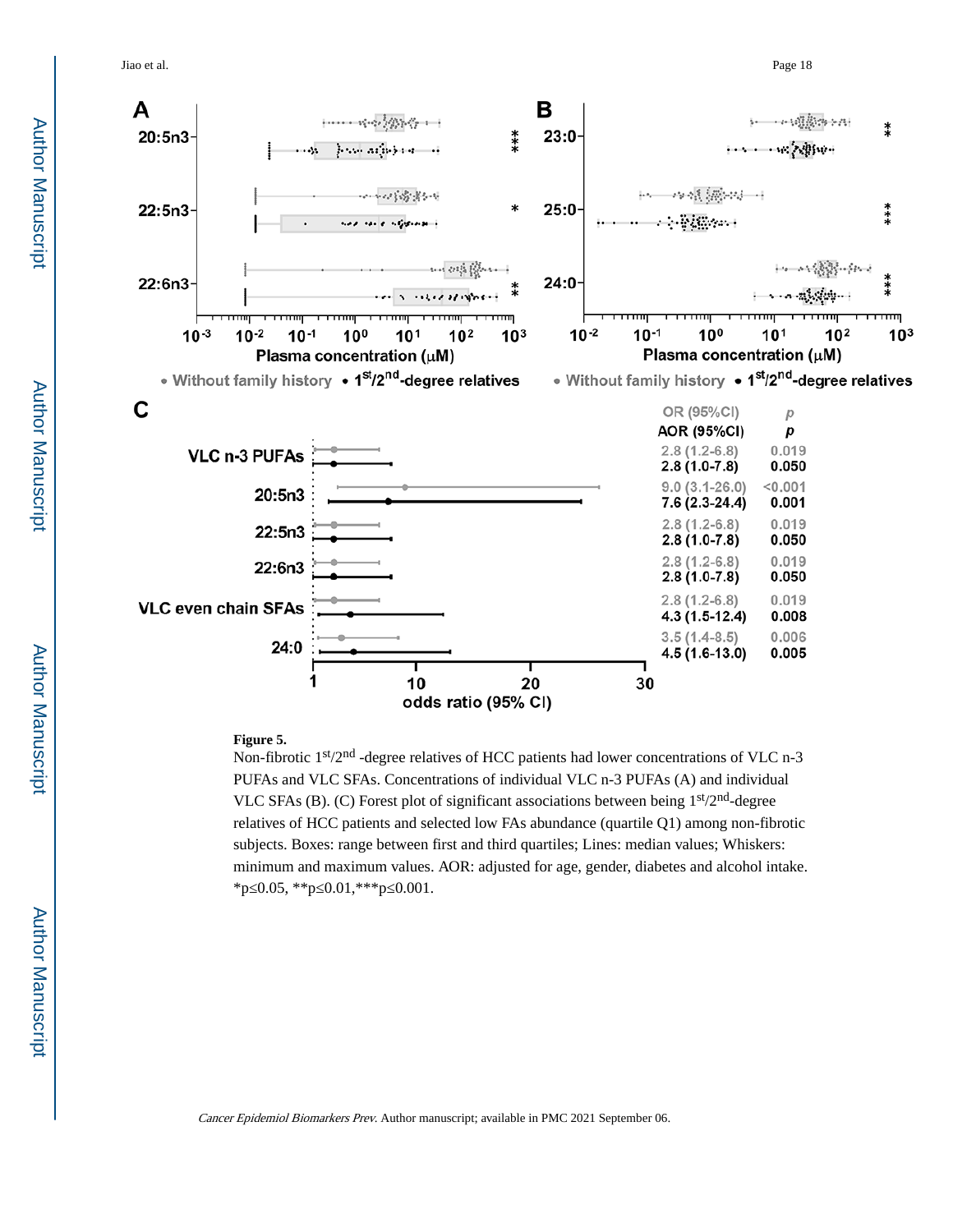Jiao et al. Page 18



#### **Figure 5.**

Non-fibrotic 1<sup>st</sup>/2<sup>nd</sup> -degree relatives of HCC patients had lower concentrations of VLC n-3 PUFAs and VLC SFAs. Concentrations of individual VLC n-3 PUFAs (A) and individual VLC SFAs (B). (C) Forest plot of significant associations between being 1st/2nd-degree relatives of HCC patients and selected low FAs abundance (quartile Q1) among non-fibrotic subjects. Boxes: range between first and third quartiles; Lines: median values; Whiskers: minimum and maximum values. AOR: adjusted for age, gender, diabetes and alcohol intake. \*p≤0.05, \*\*p≤0.01,\*\*\*p≤0.001.